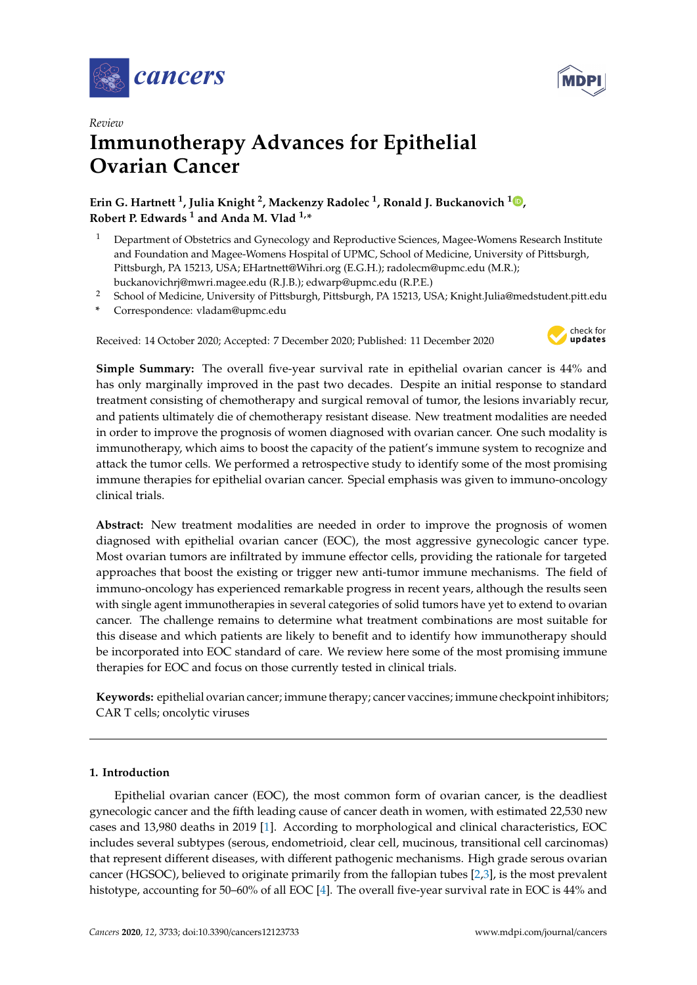



# *Review* **Immunotherapy Advances for Epithelial Ovarian Cancer**

# **Erin G. Hartnett <sup>1</sup> , Julia Knight <sup>2</sup> , Mackenzy Radolec <sup>1</sup> , Ronald J. Buckanovich <sup>1</sup> [,](https://orcid.org/0000-0002-5665-9790) Robert P. Edwards <sup>1</sup> and Anda M. Vlad 1,\***

- <sup>1</sup> Department of Obstetrics and Gynecology and Reproductive Sciences, Magee-Womens Research Institute and Foundation and Magee-Womens Hospital of UPMC, School of Medicine, University of Pittsburgh, Pittsburgh, PA 15213, USA; EHartnett@Wihri.org (E.G.H.); radolecm@upmc.edu (M.R.); buckanovichrj@mwri.magee.edu (R.J.B.); edwarp@upmc.edu (R.P.E.)
- <sup>2</sup> School of Medicine, University of Pittsburgh, Pittsburgh, PA 15213, USA; Knight.Julia@medstudent.pitt.edu
- **\*** Correspondence: vladam@upmc.edu

Received: 14 October 2020; Accepted: 7 December 2020; Published: 11 December 2020



**Simple Summary:** The overall five-year survival rate in epithelial ovarian cancer is 44% and has only marginally improved in the past two decades. Despite an initial response to standard treatment consisting of chemotherapy and surgical removal of tumor, the lesions invariably recur, and patients ultimately die of chemotherapy resistant disease. New treatment modalities are needed in order to improve the prognosis of women diagnosed with ovarian cancer. One such modality is immunotherapy, which aims to boost the capacity of the patient's immune system to recognize and attack the tumor cells. We performed a retrospective study to identify some of the most promising immune therapies for epithelial ovarian cancer. Special emphasis was given to immuno-oncology clinical trials.

**Abstract:** New treatment modalities are needed in order to improve the prognosis of women diagnosed with epithelial ovarian cancer (EOC), the most aggressive gynecologic cancer type. Most ovarian tumors are infiltrated by immune effector cells, providing the rationale for targeted approaches that boost the existing or trigger new anti-tumor immune mechanisms. The field of immuno-oncology has experienced remarkable progress in recent years, although the results seen with single agent immunotherapies in several categories of solid tumors have yet to extend to ovarian cancer. The challenge remains to determine what treatment combinations are most suitable for this disease and which patients are likely to benefit and to identify how immunotherapy should be incorporated into EOC standard of care. We review here some of the most promising immune therapies for EOC and focus on those currently tested in clinical trials.

**Keywords:** epithelial ovarian cancer; immune therapy; cancer vaccines; immune checkpoint inhibitors; CAR T cells; oncolytic viruses

# **1. Introduction**

Epithelial ovarian cancer (EOC), the most common form of ovarian cancer, is the deadliest gynecologic cancer and the fifth leading cause of cancer death in women, with estimated 22,530 new cases and 13,980 deaths in 2019 [\[1\]](#page-17-0). According to morphological and clinical characteristics, EOC includes several subtypes (serous, endometrioid, clear cell, mucinous, transitional cell carcinomas) that represent different diseases, with different pathogenic mechanisms. High grade serous ovarian cancer (HGSOC), believed to originate primarily from the fallopian tubes [\[2](#page-17-1)[,3\]](#page-17-2), is the most prevalent histotype, accounting for 50–60% of all EOC [\[4\]](#page-17-3). The overall five-year survival rate in EOC is 44% and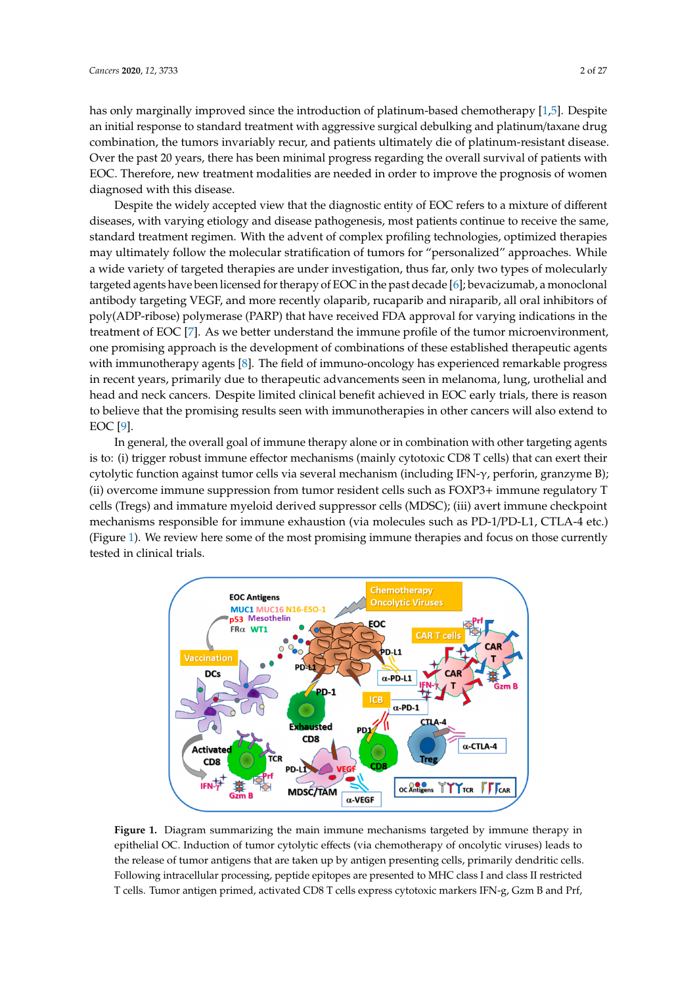has only marginally improved since the introduction of platinum-based chemotherapy [\[1](#page-17-0)[,5\]](#page-17-4). Despite has only marginally improved since the introduction of platinum-based chemotherapy [1,5]. Despite an initial response to standard treatment with aggressive surgical debulking and platinum/taxane drug an initial response to standard treatment with aggressive surgical debulking and platinum/taxane combination, the tumors invariably recur, and patients ultimately die of platinum-resistant disease. Over the past 20 years, there has been minimal progress regarding the overall survival of patients with EOC. Therefore, new treatment modalities are needed in order to improve the prognosis of women diagnosed with this disease. prognosis of women diagnosed with this disease.

Despite the widely accepted view that the diagnostic entity of EOC refers to a mixture of different Despite the widely accepted view that the diagnostic entity of EOC refers to a mixture of diseases, with varying etiology and disease pathogenesis, most patients continue to receive the same, standard treatment regimen. With the advent of complex profiling technologies, optimized therapies may ultimately follow the molecular stratification of tumors for "personalized" approaches. While a wide variety of targeted therapies are under investigation, thus far, only two types of molecularly targeted agents have been licensed for therapy of EOC in the past decade [\[6\]](#page-17-5); bevacizumab, a monoclonal antibody targeting VEGF, and more recently olaparib, rucaparib and niraparib, all oral inhibitors of poly(ADP-ribose) polymerase (PARP) that have received FDA approval for varying indications in the treatment of EOC [\[7\]](#page-17-6). As we better understand the immune profile of the tumor microenvironment, one promising approach is the development of combinations of these established therapeutic agents with immunotherapy agents [\[8\]](#page-17-7). The field of immuno-oncology has experienced remarkable progress in recent years, primarily due to therapeutic advancements seen in melanoma, lung, urothelial and head and neck cancers. Despite limited clinical benefit achieved in EOC early trials, there is reason to believe that the promising results seen with immunotherapies in other cancers will also extend to EOC [\[9\]](#page-17-8).  $\text{EOC}$  [9].

In general, the overall goal of immune therapy alone or in combination with other targeting agents In general, the overall goal of immune therapy alone or in combination with other targeting is to: (i) trigger robust immune effector mechanisms (mainly cytotoxic  $C\mathrm{D}8$  T cells) that can exert their cytolytic function against tumor cells via several mechanism (including IFN-γ, perforin, granzyme B); (ii) overcome immune suppression from tumor resident cells such as FOXP3+ immune regulatory T cells (Tregs) and immature myeloid derived suppressor cells (MDSC); (iii) avert immune checkpoint mechanisms responsible for immune exhaustion (via molecules such as PD-1/PD-L1, CTLA-4 etc.) (Figure 1). We review here some of the most promising immune therapies and focus on those currently tested in clinical trials.

<span id="page-1-0"></span>

**Figure 1.** Diagram summarizing the main immune mechanisms targeted by immune therapy in **Figure 1.** Diagram summarizing the main immune mechanisms targeted by immune therapy in epithelial OC. Induction of tumor cytolytic effects (via chemotherapy of oncolytic viruses) leads to the release of tumor antigens that are taken up by antigen presenting cells, primarily dendritic cells. Following intracellular processing, peptide epitopes are presented to MHC class I and class II restricted T cells. Tumor antigen primed, activated CD8 T cells express cytotoxic markers IFN-g, Gzm B and Prf,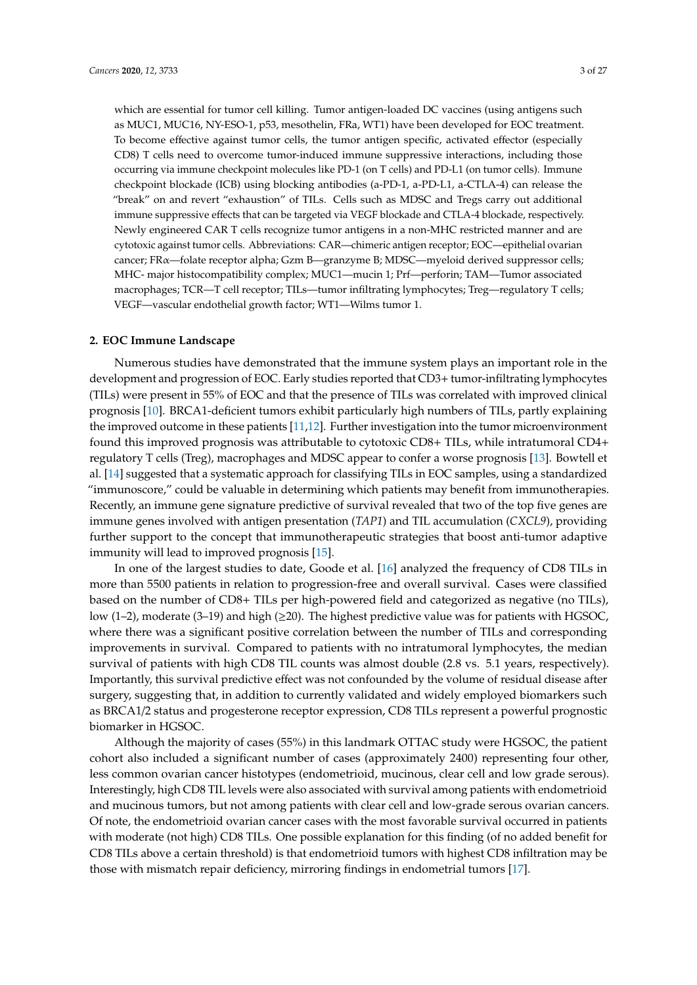which are essential for tumor cell killing. Tumor antigen-loaded DC vaccines (using antigens such as MUC1, MUC16, NY-ESO-1, p53, mesothelin, FRa, WT1) have been developed for EOC treatment. To become effective against tumor cells, the tumor antigen specific, activated effector (especially CD8) T cells need to overcome tumor-induced immune suppressive interactions, including those occurring via immune checkpoint molecules like PD-1 (on T cells) and PD-L1 (on tumor cells). Immune checkpoint blockade (ICB) using blocking antibodies (a-PD-1, a-PD-L1, a-CTLA-4) can release the "break" on and revert "exhaustion" of TILs. Cells such as MDSC and Tregs carry out additional immune suppressive effects that can be targeted via VEGF blockade and CTLA-4 blockade, respectively. Newly engineered CAR T cells recognize tumor antigens in a non-MHC restricted manner and are cytotoxic against tumor cells. Abbreviations: CAR—chimeric antigen receptor; EOC—epithelial ovarian cancer; FRα—folate receptor alpha; Gzm B—granzyme B; MDSC—myeloid derived suppressor cells; MHC- major histocompatibility complex; MUC1—mucin 1; Prf—perforin; TAM—Tumor associated macrophages; TCR—T cell receptor; TILs—tumor infiltrating lymphocytes; Treg—regulatory T cells; VEGF—vascular endothelial growth factor; WT1—Wilms tumor 1.

#### **2. EOC Immune Landscape**

Numerous studies have demonstrated that the immune system plays an important role in the development and progression of EOC. Early studies reported that CD3+ tumor-infiltrating lymphocytes (TILs) were present in 55% of EOC and that the presence of TILs was correlated with improved clinical prognosis [\[10\]](#page-17-9). BRCA1-deficient tumors exhibit particularly high numbers of TILs, partly explaining the improved outcome in these patients [\[11,](#page-17-10)[12\]](#page-17-11). Further investigation into the tumor microenvironment found this improved prognosis was attributable to cytotoxic CD8+ TILs, while intratumoral CD4+ regulatory T cells (Treg), macrophages and MDSC appear to confer a worse prognosis [\[13\]](#page-18-0). Bowtell et al. [\[14\]](#page-18-1) suggested that a systematic approach for classifying TILs in EOC samples, using a standardized "immunoscore," could be valuable in determining which patients may benefit from immunotherapies. Recently, an immune gene signature predictive of survival revealed that two of the top five genes are immune genes involved with antigen presentation (*TAP1*) and TIL accumulation (*CXCL9*), providing further support to the concept that immunotherapeutic strategies that boost anti-tumor adaptive immunity will lead to improved prognosis [\[15\]](#page-18-2).

In one of the largest studies to date, Goode et al. [\[16\]](#page-18-3) analyzed the frequency of CD8 TILs in more than 5500 patients in relation to progression-free and overall survival. Cases were classified based on the number of CD8+ TILs per high-powered field and categorized as negative (no TILs), low (1–2), moderate (3–19) and high ( $\geq$ 20). The highest predictive value was for patients with HGSOC, where there was a significant positive correlation between the number of TILs and corresponding improvements in survival. Compared to patients with no intratumoral lymphocytes, the median survival of patients with high CD8 TIL counts was almost double (2.8 vs. 5.1 years, respectively). Importantly, this survival predictive effect was not confounded by the volume of residual disease after surgery, suggesting that, in addition to currently validated and widely employed biomarkers such as BRCA1/2 status and progesterone receptor expression, CD8 TILs represent a powerful prognostic biomarker in HGSOC.

Although the majority of cases (55%) in this landmark OTTAC study were HGSOC, the patient cohort also included a significant number of cases (approximately 2400) representing four other, less common ovarian cancer histotypes (endometrioid, mucinous, clear cell and low grade serous). Interestingly, high CD8 TIL levels were also associated with survival among patients with endometrioid and mucinous tumors, but not among patients with clear cell and low-grade serous ovarian cancers. Of note, the endometrioid ovarian cancer cases with the most favorable survival occurred in patients with moderate (not high) CD8 TILs. One possible explanation for this finding (of no added benefit for CD8 TILs above a certain threshold) is that endometrioid tumors with highest CD8 infiltration may be those with mismatch repair deficiency, mirroring findings in endometrial tumors [\[17\]](#page-18-4).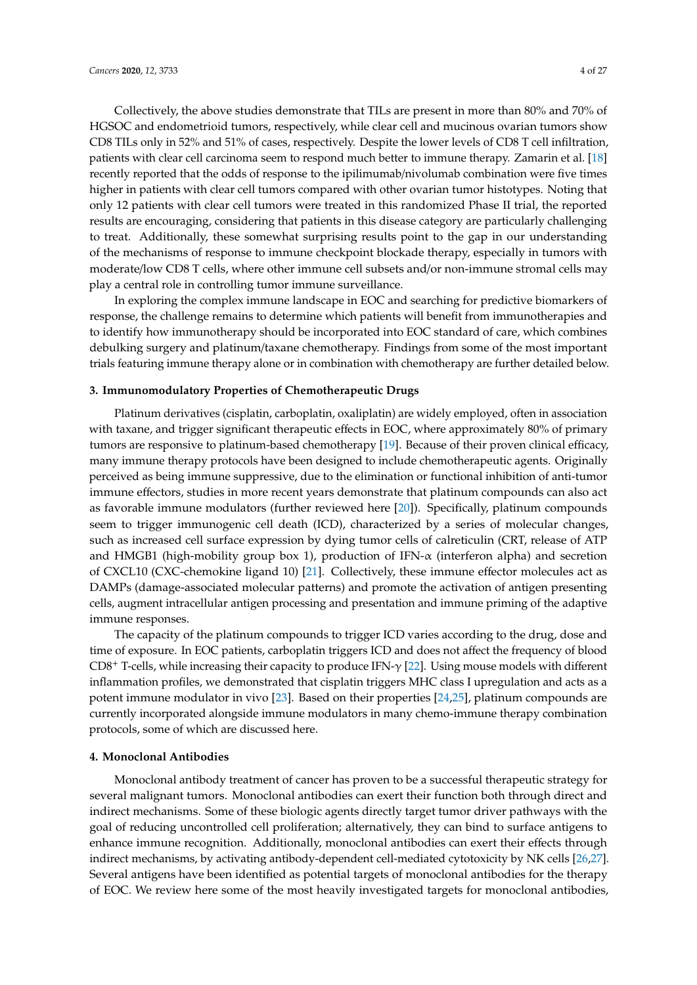Collectively, the above studies demonstrate that TILs are present in more than 80% and 70% of HGSOC and endometrioid tumors, respectively, while clear cell and mucinous ovarian tumors show CD8 TILs only in 52% and 51% of cases, respectively. Despite the lower levels of CD8 T cell infiltration, patients with clear cell carcinoma seem to respond much better to immune therapy. Zamarin et al. [\[18\]](#page-18-5) recently reported that the odds of response to the ipilimumab/nivolumab combination were five times higher in patients with clear cell tumors compared with other ovarian tumor histotypes. Noting that only 12 patients with clear cell tumors were treated in this randomized Phase II trial, the reported results are encouraging, considering that patients in this disease category are particularly challenging to treat. Additionally, these somewhat surprising results point to the gap in our understanding of the mechanisms of response to immune checkpoint blockade therapy, especially in tumors with moderate/low CD8 T cells, where other immune cell subsets and/or non-immune stromal cells may play a central role in controlling tumor immune surveillance.

In exploring the complex immune landscape in EOC and searching for predictive biomarkers of response, the challenge remains to determine which patients will benefit from immunotherapies and to identify how immunotherapy should be incorporated into EOC standard of care, which combines debulking surgery and platinum/taxane chemotherapy. Findings from some of the most important trials featuring immune therapy alone or in combination with chemotherapy are further detailed below.

### **3. Immunomodulatory Properties of Chemotherapeutic Drugs**

Platinum derivatives (cisplatin, carboplatin, oxaliplatin) are widely employed, often in association with taxane, and trigger significant therapeutic effects in EOC, where approximately 80% of primary tumors are responsive to platinum-based chemotherapy [\[19\]](#page-18-6). Because of their proven clinical efficacy, many immune therapy protocols have been designed to include chemotherapeutic agents. Originally perceived as being immune suppressive, due to the elimination or functional inhibition of anti-tumor immune effectors, studies in more recent years demonstrate that platinum compounds can also act as favorable immune modulators (further reviewed here [\[20\]](#page-18-7)). Specifically, platinum compounds seem to trigger immunogenic cell death (ICD), characterized by a series of molecular changes, such as increased cell surface expression by dying tumor cells of calreticulin (CRT, release of ATP and HMGB1 (high-mobility group box 1), production of IFN- $\alpha$  (interferon alpha) and secretion of CXCL10 (CXC-chemokine ligand 10) [\[21\]](#page-18-8). Collectively, these immune effector molecules act as DAMPs (damage-associated molecular patterns) and promote the activation of antigen presenting cells, augment intracellular antigen processing and presentation and immune priming of the adaptive immune responses.

The capacity of the platinum compounds to trigger ICD varies according to the drug, dose and time of exposure. In EOC patients, carboplatin triggers ICD and does not affect the frequency of blood CD8<sup>+</sup> T-cells, while increasing their capacity to produce IFN-γ [\[22\]](#page-18-9). Using mouse models with different inflammation profiles, we demonstrated that cisplatin triggers MHC class I upregulation and acts as a potent immune modulator in vivo [\[23\]](#page-18-10). Based on their properties [\[24,](#page-18-11)[25\]](#page-18-12), platinum compounds are currently incorporated alongside immune modulators in many chemo-immune therapy combination protocols, some of which are discussed here.

#### **4. Monoclonal Antibodies**

Monoclonal antibody treatment of cancer has proven to be a successful therapeutic strategy for several malignant tumors. Monoclonal antibodies can exert their function both through direct and indirect mechanisms. Some of these biologic agents directly target tumor driver pathways with the goal of reducing uncontrolled cell proliferation; alternatively, they can bind to surface antigens to enhance immune recognition. Additionally, monoclonal antibodies can exert their effects through indirect mechanisms, by activating antibody-dependent cell-mediated cytotoxicity by NK cells [\[26](#page-18-13)[,27\]](#page-18-14). Several antigens have been identified as potential targets of monoclonal antibodies for the therapy of EOC. We review here some of the most heavily investigated targets for monoclonal antibodies,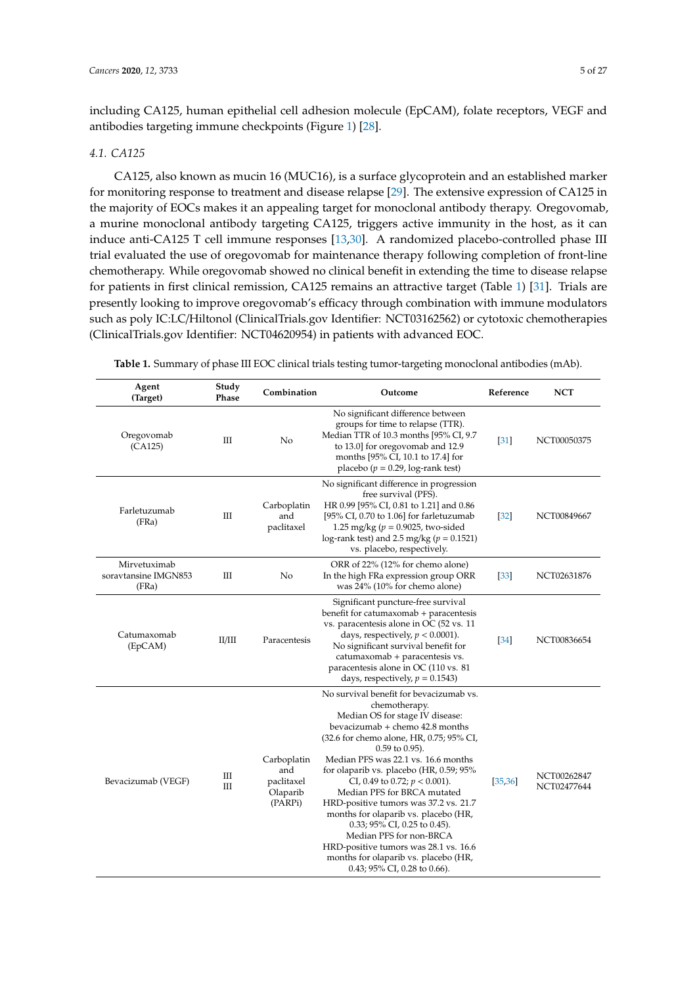including CA125, human epithelial cell adhesion molecule (EpCAM), folate receptors, VEGF and antibodies targeting immune checkpoints (Figure [1\)](#page-1-0) [\[28\]](#page-18-15).

### *4.1. CA125*

CA125, also known as mucin 16 (MUC16), is a surface glycoprotein and an established marker for monitoring response to treatment and disease relapse [\[29\]](#page-18-16). The extensive expression of CA125 in the majority of EOCs makes it an appealing target for monoclonal antibody therapy. Oregovomab, a murine monoclonal antibody targeting CA125, triggers active immunity in the host, as it can induce anti-CA125 T cell immune responses [\[13](#page-18-0)[,30\]](#page-18-17). A randomized placebo-controlled phase III trial evaluated the use of oregovomab for maintenance therapy following completion of front-line chemotherapy. While oregovomab showed no clinical benefit in extending the time to disease relapse for patients in first clinical remission, CA125 remains an attractive target (Table [1\)](#page-4-0) [\[31\]](#page-18-18). Trials are presently looking to improve oregovomab's efficacy through combination with immune modulators such as poly IC:LC/Hiltonol (ClinicalTrials.gov Identifier: NCT03162562) or cytotoxic chemotherapies (ClinicalTrials.gov Identifier: NCT04620954) in patients with advanced EOC.

| Agent<br>(Target)                             | Study<br>Phase | Combination                                             | Outcome                                                                                                                                                                                                                                                                                                                                                                                                                                                                                                                                                                                                                | Reference         | <b>NCT</b>                 |
|-----------------------------------------------|----------------|---------------------------------------------------------|------------------------------------------------------------------------------------------------------------------------------------------------------------------------------------------------------------------------------------------------------------------------------------------------------------------------------------------------------------------------------------------------------------------------------------------------------------------------------------------------------------------------------------------------------------------------------------------------------------------------|-------------------|----------------------------|
| Oregovomab<br>(CA125)                         | Ш              | No                                                      | No significant difference between<br>groups for time to relapse (TTR).<br>Median TTR of 10.3 months [95% CI, 9.7<br>to 13.0] for oregovomab and 12.9<br>months [95% CI, 10.1 to 17.4] for<br>placebo ( $p = 0.29$ , log-rank test)                                                                                                                                                                                                                                                                                                                                                                                     | $[31]$            | NCT00050375                |
| Farletuzumab<br>(FRa)                         | Ш              | Carboplatin<br>and<br>paclitaxel                        | No significant difference in progression<br>free survival (PFS).<br>HR 0.99 [95% CI, 0.81 to 1.21] and 0.86<br>[95% CI, 0.70 to 1.06] for farletuzumab<br>1.25 mg/kg ( $p = 0.9025$ , two-sided<br>log-rank test) and 2.5 mg/kg ( $p = 0.1521$ )<br>vs. placebo, respectively.                                                                                                                                                                                                                                                                                                                                         | $[32]$            | NCT00849667                |
| Mirvetuximab<br>soravtansine IMGN853<br>(FRa) | Ш              | No                                                      | ORR of 22% (12% for chemo alone)<br>In the high FRa expression group ORR<br>was 24% (10% for chemo alone)                                                                                                                                                                                                                                                                                                                                                                                                                                                                                                              | $[33]$            | NCT02631876                |
| Catumaxomab<br>(EpCAM)                        | II/III         | Paracentesis                                            | Significant puncture-free survival<br>benefit for catumaxomab + paracentesis<br>vs. paracentesis alone in OC (52 vs. 11<br>days, respectively, $p < 0.0001$ ).<br>No significant survival benefit for<br>catumaxomab + paracentesis vs.<br>paracentesis alone in OC (110 vs. 81)<br>days, respectively, $p = 0.1543$ )                                                                                                                                                                                                                                                                                                 | $\left[34\right]$ | NCT00836654                |
| Bevacizumab (VEGF)                            | Ш<br>Ш         | Carboplatin<br>and<br>paclitaxel<br>Olaparib<br>(PARPi) | No survival benefit for bevacizumab vs.<br>chemotherapy.<br>Median OS for stage IV disease:<br>bevacizumab + chemo 42.8 months<br>(32.6 for chemo alone, HR, 0.75; 95% CI,<br>$0.59$ to $0.95$ ).<br>Median PFS was 22.1 vs. 16.6 months<br>for olaparib vs. placebo (HR, 0.59; 95%<br>CI, 0.49 to 0.72; $p < 0.001$ ).<br>Median PFS for BRCA mutated<br>HRD-positive tumors was 37.2 vs. 21.7<br>months for olaparib vs. placebo (HR,<br>0.33; 95% CI, 0.25 to 0.45).<br>Median PFS for non-BRCA<br>HRD-positive tumors was 28.1 vs. 16.6<br>months for olaparib vs. placebo (HR,<br>$0.43$ ; 95% CI, 0.28 to 0.66). | [35, 36]          | NCT00262847<br>NCT02477644 |

<span id="page-4-0"></span>**Table 1.** Summary of phase III EOC clinical trials testing tumor-targeting monoclonal antibodies (mAb).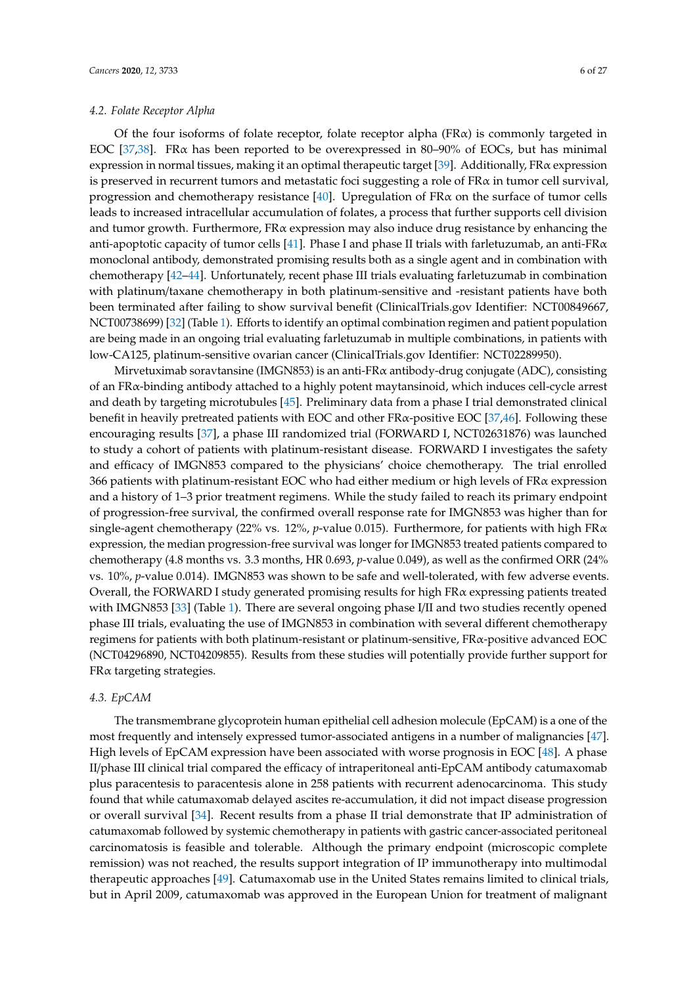### *4.2. Folate Receptor Alpha*

Of the four isoforms of folate receptor, folate receptor alpha ( $FR\alpha$ ) is commonly targeted in EOC [\[37,](#page-19-5)[38\]](#page-19-6). FRα has been reported to be overexpressed in 80–90% of EOCs, but has minimal expression in normal tissues, making it an optimal therapeutic target [\[39\]](#page-19-7). Additionally, FRα expression is preserved in recurrent tumors and metastatic foci suggesting a role of FR $\alpha$  in tumor cell survival, progression and chemotherapy resistance [\[40\]](#page-19-8). Upregulation of FR $\alpha$  on the surface of tumor cells leads to increased intracellular accumulation of folates, a process that further supports cell division and tumor growth. Furthermore,  $FR\alpha$  expression may also induce drug resistance by enhancing the anti-apoptotic capacity of tumor cells [\[41\]](#page-19-9). Phase I and phase II trials with farletuzumab, an anti-FR $\alpha$ monoclonal antibody, demonstrated promising results both as a single agent and in combination with chemotherapy [\[42–](#page-19-10)[44\]](#page-19-11). Unfortunately, recent phase III trials evaluating farletuzumab in combination with platinum/taxane chemotherapy in both platinum-sensitive and -resistant patients have both been terminated after failing to show survival benefit (ClinicalTrials.gov Identifier: NCT00849667, NCT00738699) [\[32\]](#page-19-0) (Table [1\)](#page-4-0). Efforts to identify an optimal combination regimen and patient population are being made in an ongoing trial evaluating farletuzumab in multiple combinations, in patients with low-CA125, platinum-sensitive ovarian cancer (ClinicalTrials.gov Identifier: NCT02289950).

Mirvetuximab soravtansine (IMGN853) is an anti-FR $\alpha$  antibody-drug conjugate (ADC), consisting of an FRα-binding antibody attached to a highly potent maytansinoid, which induces cell-cycle arrest and death by targeting microtubules [\[45\]](#page-19-12). Preliminary data from a phase I trial demonstrated clinical benefit in heavily pretreated patients with EOC and other  $FRx$ -positive EOC [\[37,](#page-19-5)[46\]](#page-19-13). Following these encouraging results [\[37\]](#page-19-5), a phase III randomized trial (FORWARD I, NCT02631876) was launched to study a cohort of patients with platinum-resistant disease. FORWARD I investigates the safety and efficacy of IMGN853 compared to the physicians' choice chemotherapy. The trial enrolled 366 patients with platinum-resistant EOC who had either medium or high levels of  $FR\alpha$  expression and a history of 1–3 prior treatment regimens. While the study failed to reach its primary endpoint of progression-free survival, the confirmed overall response rate for IMGN853 was higher than for single-agent chemotherapy (22% vs. 12%, *p*-value 0.015). Furthermore, for patients with high FRα expression, the median progression-free survival was longer for IMGN853 treated patients compared to chemotherapy (4.8 months vs. 3.3 months, HR 0.693, *p*-value 0.049), as well as the confirmed ORR (24% vs. 10%, *p*-value 0.014). IMGN853 was shown to be safe and well-tolerated, with few adverse events. Overall, the FORWARD I study generated promising results for high FRα expressing patients treated with IMGN853 [\[33\]](#page-19-1) (Table [1\)](#page-4-0). There are several ongoing phase I/II and two studies recently opened phase III trials, evaluating the use of IMGN853 in combination with several different chemotherapy regimens for patients with both platinum-resistant or platinum-sensitive, FRα-positive advanced EOC (NCT04296890, NCT04209855). Results from these studies will potentially provide further support for  $F R\alpha$  targeting strategies.

# *4.3. EpCAM*

The transmembrane glycoprotein human epithelial cell adhesion molecule (EpCAM) is a one of the most frequently and intensely expressed tumor-associated antigens in a number of malignancies [\[47\]](#page-19-14). High levels of EpCAM expression have been associated with worse prognosis in EOC [\[48\]](#page-20-0). A phase II/phase III clinical trial compared the efficacy of intraperitoneal anti-EpCAM antibody catumaxomab plus paracentesis to paracentesis alone in 258 patients with recurrent adenocarcinoma. This study found that while catumaxomab delayed ascites re-accumulation, it did not impact disease progression or overall survival [\[34\]](#page-19-2). Recent results from a phase II trial demonstrate that IP administration of catumaxomab followed by systemic chemotherapy in patients with gastric cancer-associated peritoneal carcinomatosis is feasible and tolerable. Although the primary endpoint (microscopic complete remission) was not reached, the results support integration of IP immunotherapy into multimodal therapeutic approaches [\[49\]](#page-20-1). Catumaxomab use in the United States remains limited to clinical trials, but in April 2009, catumaxomab was approved in the European Union for treatment of malignant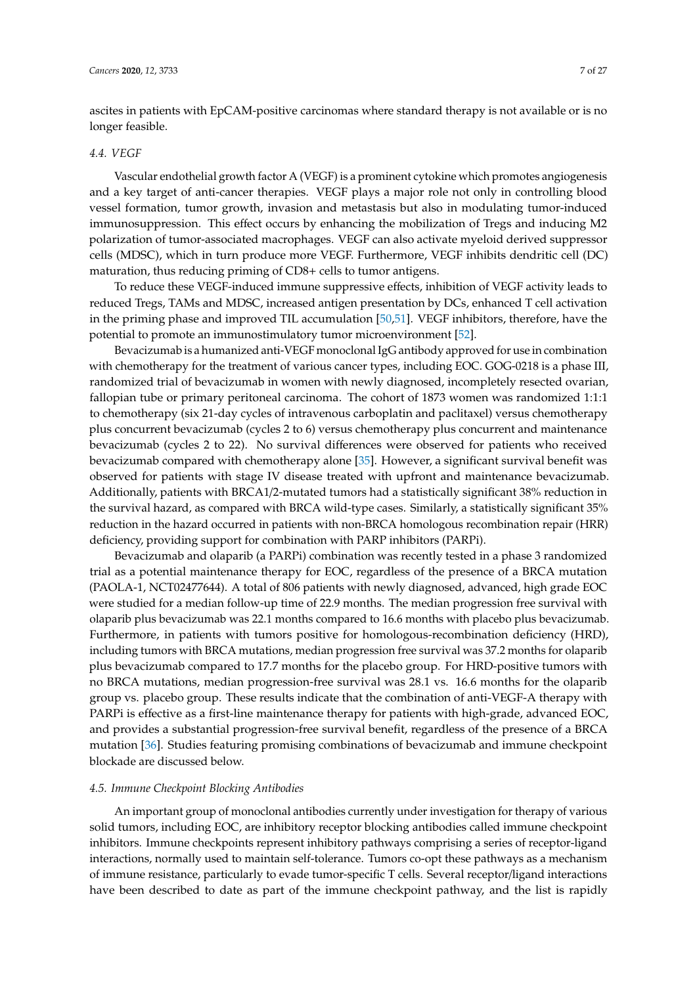ascites in patients with EpCAM-positive carcinomas where standard therapy is not available or is no longer feasible.

### *4.4. VEGF*

Vascular endothelial growth factor A (VEGF) is a prominent cytokine which promotes angiogenesis and a key target of anti-cancer therapies. VEGF plays a major role not only in controlling blood vessel formation, tumor growth, invasion and metastasis but also in modulating tumor-induced immunosuppression. This effect occurs by enhancing the mobilization of Tregs and inducing M2 polarization of tumor-associated macrophages. VEGF can also activate myeloid derived suppressor cells (MDSC), which in turn produce more VEGF. Furthermore, VEGF inhibits dendritic cell (DC) maturation, thus reducing priming of CD8+ cells to tumor antigens.

To reduce these VEGF-induced immune suppressive effects, inhibition of VEGF activity leads to reduced Tregs, TAMs and MDSC, increased antigen presentation by DCs, enhanced T cell activation in the priming phase and improved TIL accumulation [\[50,](#page-20-2)[51\]](#page-20-3). VEGF inhibitors, therefore, have the potential to promote an immunostimulatory tumor microenvironment [\[52\]](#page-20-4).

Bevacizumab is a humanized anti-VEGF monoclonal IgG antibody approved for use in combination with chemotherapy for the treatment of various cancer types, including EOC. GOG-0218 is a phase III, randomized trial of bevacizumab in women with newly diagnosed, incompletely resected ovarian, fallopian tube or primary peritoneal carcinoma. The cohort of 1873 women was randomized 1:1:1 to chemotherapy (six 21-day cycles of intravenous carboplatin and paclitaxel) versus chemotherapy plus concurrent bevacizumab (cycles 2 to 6) versus chemotherapy plus concurrent and maintenance bevacizumab (cycles 2 to 22). No survival differences were observed for patients who received bevacizumab compared with chemotherapy alone [\[35\]](#page-19-3). However, a significant survival benefit was observed for patients with stage IV disease treated with upfront and maintenance bevacizumab. Additionally, patients with BRCA1/2-mutated tumors had a statistically significant 38% reduction in the survival hazard, as compared with BRCA wild-type cases. Similarly, a statistically significant 35% reduction in the hazard occurred in patients with non-BRCA homologous recombination repair (HRR) deficiency, providing support for combination with PARP inhibitors (PARPi).

Bevacizumab and olaparib (a PARPi) combination was recently tested in a phase 3 randomized trial as a potential maintenance therapy for EOC, regardless of the presence of a BRCA mutation (PAOLA-1, NCT02477644). A total of 806 patients with newly diagnosed, advanced, high grade EOC were studied for a median follow-up time of 22.9 months. The median progression free survival with olaparib plus bevacizumab was 22.1 months compared to 16.6 months with placebo plus bevacizumab. Furthermore, in patients with tumors positive for homologous-recombination deficiency (HRD), including tumors with BRCA mutations, median progression free survival was 37.2 months for olaparib plus bevacizumab compared to 17.7 months for the placebo group. For HRD-positive tumors with no BRCA mutations, median progression-free survival was 28.1 vs. 16.6 months for the olaparib group vs. placebo group. These results indicate that the combination of anti-VEGF-A therapy with PARPi is effective as a first-line maintenance therapy for patients with high-grade, advanced EOC, and provides a substantial progression-free survival benefit, regardless of the presence of a BRCA mutation [\[36\]](#page-19-4). Studies featuring promising combinations of bevacizumab and immune checkpoint blockade are discussed below.

### *4.5. Immune Checkpoint Blocking Antibodies*

An important group of monoclonal antibodies currently under investigation for therapy of various solid tumors, including EOC, are inhibitory receptor blocking antibodies called immune checkpoint inhibitors. Immune checkpoints represent inhibitory pathways comprising a series of receptor-ligand interactions, normally used to maintain self-tolerance. Tumors co-opt these pathways as a mechanism of immune resistance, particularly to evade tumor-specific T cells. Several receptor/ligand interactions have been described to date as part of the immune checkpoint pathway, and the list is rapidly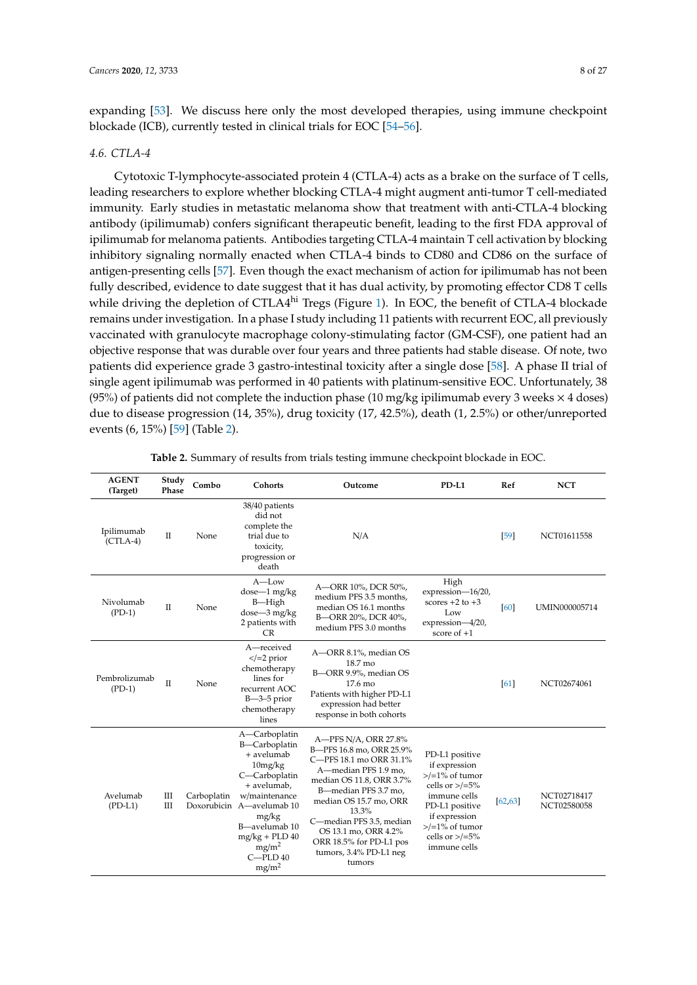expanding [\[53\]](#page-20-5). We discuss here only the most developed therapies, using immune checkpoint blockade (ICB), currently tested in clinical trials for EOC [\[54](#page-20-6)[–56\]](#page-20-7).

### *4.6. CTLA-4*

Cytotoxic T-lymphocyte-associated protein 4 (CTLA-4) acts as a brake on the surface of T cells, leading researchers to explore whether blocking CTLA-4 might augment anti-tumor T cell-mediated immunity. Early studies in metastatic melanoma show that treatment with anti-CTLA-4 blocking antibody (ipilimumab) confers significant therapeutic benefit, leading to the first FDA approval of ipilimumab for melanoma patients. Antibodies targeting CTLA-4 maintain T cell activation by blocking inhibitory signaling normally enacted when CTLA-4 binds to CD80 and CD86 on the surface of antigen-presenting cells [\[57\]](#page-20-8). Even though the exact mechanism of action for ipilimumab has not been fully described, evidence to date suggest that it has dual activity, by promoting effector CD8 T cells while driving the depletion of CTLA4hi Tregs (Figure [1\)](#page-1-0). In EOC, the benefit of CTLA-4 blockade remains under investigation. In a phase I study including 11 patients with recurrent EOC, all previously vaccinated with granulocyte macrophage colony-stimulating factor (GM-CSF), one patient had an objective response that was durable over four years and three patients had stable disease. Of note, two patients did experience grade 3 gastro-intestinal toxicity after a single dose [\[58\]](#page-20-9). A phase II trial of single agent ipilimumab was performed in 40 patients with platinum-sensitive EOC. Unfortunately, 38 (95%) of patients did not complete the induction phase (10 mg/kg ipilimumab every 3 weeks  $\times$  4 doses) due to disease progression (14, 35%), drug toxicity (17, 42.5%), death (1, 2.5%) or other/unreported events (6, 15%) [\[59\]](#page-20-10) (Table [2\)](#page-7-0).

<span id="page-7-0"></span>

| <b>AGENT</b><br>(Target)  | Study<br>Phase | Combo       | Cohorts                                                                                                                                                                                                                                      | Outcome                                                                                                                                                                                                                                                                                                       | PD-L1                                                                                                                                                                                   | Ref      | <b>NCT</b>                 |
|---------------------------|----------------|-------------|----------------------------------------------------------------------------------------------------------------------------------------------------------------------------------------------------------------------------------------------|---------------------------------------------------------------------------------------------------------------------------------------------------------------------------------------------------------------------------------------------------------------------------------------------------------------|-----------------------------------------------------------------------------------------------------------------------------------------------------------------------------------------|----------|----------------------------|
| Ipilimumab<br>$(CTLA-4)$  | $\mathbf{I}$   | None        | 38/40 patients<br>did not<br>complete the<br>trial due to<br>toxicity,<br>progression or<br>death                                                                                                                                            | N/A                                                                                                                                                                                                                                                                                                           |                                                                                                                                                                                         | [59]     | NCT01611558                |
| Nivolumab<br>$(PD-1)$     | $\Pi$          | None        | $A$ —Low<br>$dose-1$ mg/kg<br>B-High<br>dose-3 mg/kg<br>2 patients with<br><b>CR</b>                                                                                                                                                         | A-ORR 10%, DCR 50%,<br>medium PFS 3.5 months,<br>median OS 16.1 months<br>B-ORR 20%, DCR 40%,<br>medium PFS 3.0 months                                                                                                                                                                                        | High<br>expression-16/20,<br>scores $+2$ to $+3$<br>Low<br>expression-4/20,<br>score of $+1$                                                                                            | 60       | UMIN000005714              |
| Pembrolizumab<br>$(PD-1)$ | $\mathbf{I}$   | None        | A—received<br>$\le$ /=2 prior<br>chemotherapy<br>lines for<br>recurrent AOC<br>$B - 3 - 5$ prior<br>chemotherapy<br>lines                                                                                                                    | A-ORR 8.1%, median OS<br>18.7 mo<br>B-ORR 9.9%, median OS<br>17.6 mo<br>Patients with higher PD-L1<br>expression had better<br>response in both cohorts                                                                                                                                                       |                                                                                                                                                                                         | 61       | NCT02674061                |
| Avelumab<br>$(PD-L1)$     | Ш<br>Ш         | Carboplatin | A-Carboplatin<br>B-Carboplatin<br>+ avelumab<br>10mg/kg<br>C-Carboplatin<br>+ avelumab,<br>w/maintenance<br>Doxorubicin A-avelumab 10<br>mg/kg<br>B-avelumab 10<br>$mg/kg + PLD 40$<br>mg/m <sup>2</sup><br>$C = PLD40$<br>mg/m <sup>2</sup> | A-PFS N/A, ORR 27.8%<br>B-PFS 16.8 mo, ORR 25.9%<br>C-PFS 18.1 mo ORR 31.1%<br>A-median PFS 1.9 mo,<br>median OS 11.8, ORR 3.7%<br>B-median PFS 3.7 mo,<br>median OS 15.7 mo, ORR<br>13.3%<br>C-median PFS 3.5, median<br>OS 13.1 mo, ORR 4.2%<br>ORR 18.5% for PD-L1 pos<br>tumors, 3.4% PD-L1 neg<br>tumors | PD-L1 positive<br>if expression<br>$>1/20$ of tumor<br>cells or $\ge$ /=5%<br>immune cells<br>PD-L1 positive<br>if expression<br>$>1$ % of tumor<br>cells or $\ge$ /=5%<br>immune cells | [62, 63] | NCT02718417<br>NCT02580058 |

**Table 2.** Summary of results from trials testing immune checkpoint blockade in EOC.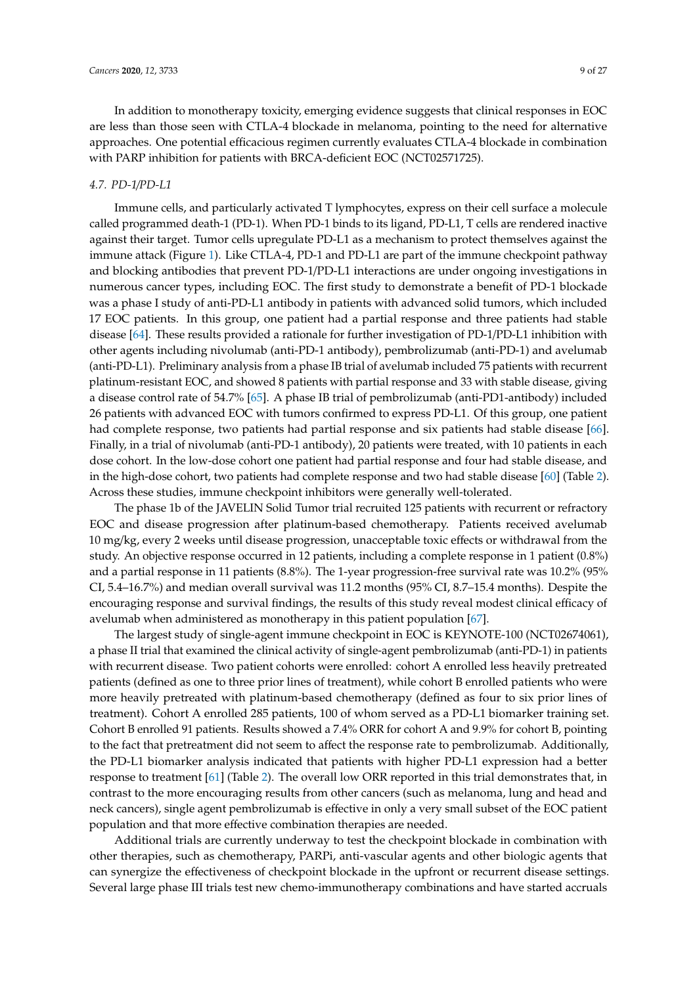In addition to monotherapy toxicity, emerging evidence suggests that clinical responses in EOC are less than those seen with CTLA-4 blockade in melanoma, pointing to the need for alternative approaches. One potential efficacious regimen currently evaluates CTLA-4 blockade in combination with PARP inhibition for patients with BRCA-deficient EOC (NCT02571725).

### *4.7. PD-1*/*PD-L1*

Immune cells, and particularly activated T lymphocytes, express on their cell surface a molecule called programmed death-1 (PD-1). When PD-1 binds to its ligand, PD-L1, T cells are rendered inactive against their target. Tumor cells upregulate PD-L1 as a mechanism to protect themselves against the immune attack (Figure [1\)](#page-1-0). Like CTLA-4, PD-1 and PD-L1 are part of the immune checkpoint pathway and blocking antibodies that prevent PD-1/PD-L1 interactions are under ongoing investigations in numerous cancer types, including EOC. The first study to demonstrate a benefit of PD-1 blockade was a phase I study of anti-PD-L1 antibody in patients with advanced solid tumors, which included 17 EOC patients. In this group, one patient had a partial response and three patients had stable disease [\[64\]](#page-20-15). These results provided a rationale for further investigation of PD-1/PD-L1 inhibition with other agents including nivolumab (anti-PD-1 antibody), pembrolizumab (anti-PD-1) and avelumab (anti-PD-L1). Preliminary analysis from a phase IB trial of avelumab included 75 patients with recurrent platinum-resistant EOC, and showed 8 patients with partial response and 33 with stable disease, giving a disease control rate of 54.7% [\[65\]](#page-20-16). A phase IB trial of pembrolizumab (anti-PD1-antibody) included 26 patients with advanced EOC with tumors confirmed to express PD-L1. Of this group, one patient had complete response, two patients had partial response and six patients had stable disease [\[66\]](#page-20-17). Finally, in a trial of nivolumab (anti-PD-1 antibody), 20 patients were treated, with 10 patients in each dose cohort. In the low-dose cohort one patient had partial response and four had stable disease, and in the high-dose cohort, two patients had complete response and two had stable disease [\[60\]](#page-20-11) (Table [2\)](#page-7-0). Across these studies, immune checkpoint inhibitors were generally well-tolerated.

The phase 1b of the JAVELIN Solid Tumor trial recruited 125 patients with recurrent or refractory EOC and disease progression after platinum-based chemotherapy. Patients received avelumab 10 mg/kg, every 2 weeks until disease progression, unacceptable toxic effects or withdrawal from the study. An objective response occurred in 12 patients, including a complete response in 1 patient (0.8%) and a partial response in 11 patients (8.8%). The 1-year progression-free survival rate was 10.2% (95% CI, 5.4–16.7%) and median overall survival was 11.2 months (95% CI, 8.7–15.4 months). Despite the encouraging response and survival findings, the results of this study reveal modest clinical efficacy of avelumab when administered as monotherapy in this patient population [\[67\]](#page-21-0).

The largest study of single-agent immune checkpoint in EOC is KEYNOTE-100 (NCT02674061), a phase II trial that examined the clinical activity of single-agent pembrolizumab (anti-PD-1) in patients with recurrent disease. Two patient cohorts were enrolled: cohort A enrolled less heavily pretreated patients (defined as one to three prior lines of treatment), while cohort B enrolled patients who were more heavily pretreated with platinum-based chemotherapy (defined as four to six prior lines of treatment). Cohort A enrolled 285 patients, 100 of whom served as a PD-L1 biomarker training set. Cohort B enrolled 91 patients. Results showed a 7.4% ORR for cohort A and 9.9% for cohort B, pointing to the fact that pretreatment did not seem to affect the response rate to pembrolizumab. Additionally, the PD-L1 biomarker analysis indicated that patients with higher PD-L1 expression had a better response to treatment [\[61\]](#page-20-12) (Table [2\)](#page-7-0). The overall low ORR reported in this trial demonstrates that, in contrast to the more encouraging results from other cancers (such as melanoma, lung and head and neck cancers), single agent pembrolizumab is effective in only a very small subset of the EOC patient population and that more effective combination therapies are needed.

Additional trials are currently underway to test the checkpoint blockade in combination with other therapies, such as chemotherapy, PARPi, anti-vascular agents and other biologic agents that can synergize the effectiveness of checkpoint blockade in the upfront or recurrent disease settings. Several large phase III trials test new chemo-immunotherapy combinations and have started accruals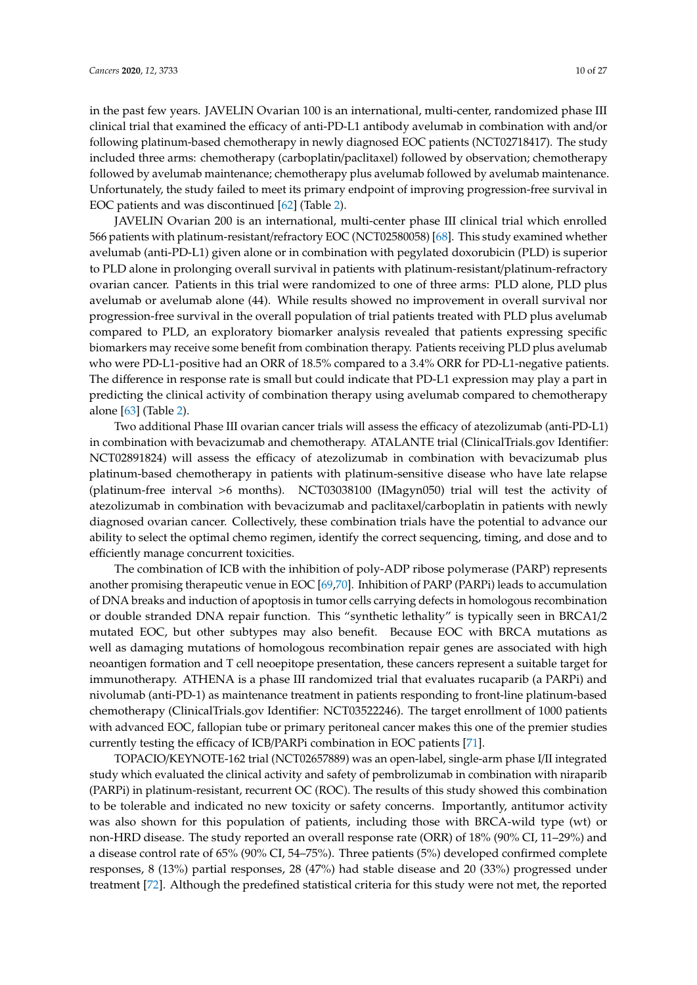in the past few years. JAVELIN Ovarian 100 is an international, multi-center, randomized phase III clinical trial that examined the efficacy of anti-PD-L1 antibody avelumab in combination with and/or following platinum-based chemotherapy in newly diagnosed EOC patients (NCT02718417). The study included three arms: chemotherapy (carboplatin/paclitaxel) followed by observation; chemotherapy followed by avelumab maintenance; chemotherapy plus avelumab followed by avelumab maintenance. Unfortunately, the study failed to meet its primary endpoint of improving progression-free survival in EOC patients and was discontinued [\[62\]](#page-20-13) (Table [2\)](#page-7-0).

JAVELIN Ovarian 200 is an international, multi-center phase III clinical trial which enrolled 566 patients with platinum-resistant/refractory EOC (NCT02580058) [\[68\]](#page-21-1). This study examined whether avelumab (anti-PD-L1) given alone or in combination with pegylated doxorubicin (PLD) is superior to PLD alone in prolonging overall survival in patients with platinum-resistant/platinum-refractory ovarian cancer. Patients in this trial were randomized to one of three arms: PLD alone, PLD plus avelumab or avelumab alone (44). While results showed no improvement in overall survival nor progression-free survival in the overall population of trial patients treated with PLD plus avelumab compared to PLD, an exploratory biomarker analysis revealed that patients expressing specific biomarkers may receive some benefit from combination therapy. Patients receiving PLD plus avelumab who were PD-L1-positive had an ORR of 18.5% compared to a 3.4% ORR for PD-L1-negative patients. The difference in response rate is small but could indicate that PD-L1 expression may play a part in predicting the clinical activity of combination therapy using avelumab compared to chemotherapy alone [\[63\]](#page-20-14) (Table [2\)](#page-7-0).

Two additional Phase III ovarian cancer trials will assess the efficacy of atezolizumab (anti-PD-L1) in combination with bevacizumab and chemotherapy. ATALANTE trial (ClinicalTrials.gov Identifier: NCT02891824) will assess the efficacy of atezolizumab in combination with bevacizumab plus platinum-based chemotherapy in patients with platinum-sensitive disease who have late relapse (platinum-free interval >6 months). NCT03038100 (IMagyn050) trial will test the activity of atezolizumab in combination with bevacizumab and paclitaxel/carboplatin in patients with newly diagnosed ovarian cancer. Collectively, these combination trials have the potential to advance our ability to select the optimal chemo regimen, identify the correct sequencing, timing, and dose and to efficiently manage concurrent toxicities.

The combination of ICB with the inhibition of poly-ADP ribose polymerase (PARP) represents another promising therapeutic venue in EOC [\[69](#page-21-2)[,70\]](#page-21-3). Inhibition of PARP (PARPi) leads to accumulation of DNA breaks and induction of apoptosis in tumor cells carrying defects in homologous recombination or double stranded DNA repair function. This "synthetic lethality" is typically seen in BRCA1/2 mutated EOC, but other subtypes may also benefit. Because EOC with BRCA mutations as well as damaging mutations of homologous recombination repair genes are associated with high neoantigen formation and T cell neoepitope presentation, these cancers represent a suitable target for immunotherapy. ATHENA is a phase III randomized trial that evaluates rucaparib (a PARPi) and nivolumab (anti-PD-1) as maintenance treatment in patients responding to front-line platinum-based chemotherapy (ClinicalTrials.gov Identifier: NCT03522246). The target enrollment of 1000 patients with advanced EOC, fallopian tube or primary peritoneal cancer makes this one of the premier studies currently testing the efficacy of ICB/PARPi combination in EOC patients [\[71\]](#page-21-4).

TOPACIO/KEYNOTE-162 trial (NCT02657889) was an open-label, single-arm phase I/II integrated study which evaluated the clinical activity and safety of pembrolizumab in combination with niraparib (PARPi) in platinum-resistant, recurrent OC (ROC). The results of this study showed this combination to be tolerable and indicated no new toxicity or safety concerns. Importantly, antitumor activity was also shown for this population of patients, including those with BRCA-wild type (wt) or non-HRD disease. The study reported an overall response rate (ORR) of 18% (90% CI, 11–29%) and a disease control rate of 65% (90% CI, 54–75%). Three patients (5%) developed confirmed complete responses, 8 (13%) partial responses, 28 (47%) had stable disease and 20 (33%) progressed under treatment [\[72\]](#page-21-5). Although the predefined statistical criteria for this study were not met, the reported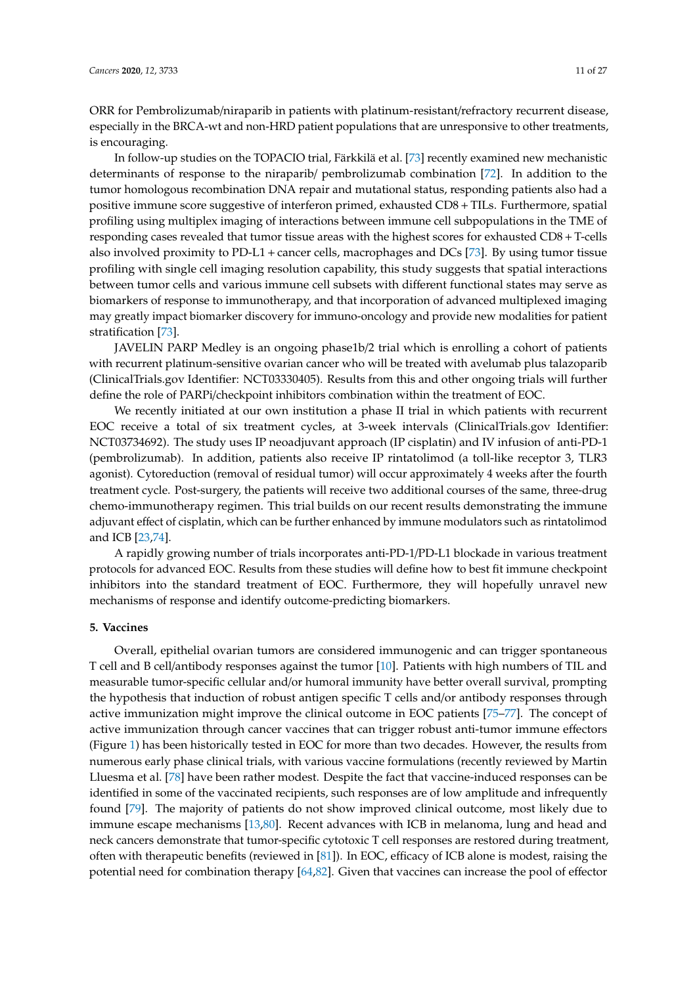ORR for Pembrolizumab/niraparib in patients with platinum-resistant/refractory recurrent disease, especially in the BRCA-wt and non-HRD patient populations that are unresponsive to other treatments, is encouraging.

In follow-up studies on the TOPACIO trial, Färkkilä et al. [\[73\]](#page-21-6) recently examined new mechanistic determinants of response to the niraparib/ pembrolizumab combination [\[72\]](#page-21-5). In addition to the tumor homologous recombination DNA repair and mutational status, responding patients also had a positive immune score suggestive of interferon primed, exhausted CD8+TILs. Furthermore, spatial profiling using multiplex imaging of interactions between immune cell subpopulations in the TME of responding cases revealed that tumor tissue areas with the highest scores for exhausted CD8 + T-cells also involved proximity to  $PD-L1$  + cancer cells, macrophages and  $DCs$  [\[73\]](#page-21-6). By using tumor tissue profiling with single cell imaging resolution capability, this study suggests that spatial interactions between tumor cells and various immune cell subsets with different functional states may serve as biomarkers of response to immunotherapy, and that incorporation of advanced multiplexed imaging may greatly impact biomarker discovery for immuno-oncology and provide new modalities for patient stratification [\[73\]](#page-21-6).

JAVELIN PARP Medley is an ongoing phase1b/2 trial which is enrolling a cohort of patients with recurrent platinum-sensitive ovarian cancer who will be treated with avelumab plus talazoparib (ClinicalTrials.gov Identifier: NCT03330405). Results from this and other ongoing trials will further define the role of PARPi/checkpoint inhibitors combination within the treatment of EOC.

We recently initiated at our own institution a phase II trial in which patients with recurrent EOC receive a total of six treatment cycles, at 3-week intervals (ClinicalTrials.gov Identifier: NCT03734692). The study uses IP neoadjuvant approach (IP cisplatin) and IV infusion of anti-PD-1 (pembrolizumab). In addition, patients also receive IP rintatolimod (a toll-like receptor 3, TLR3 agonist). Cytoreduction (removal of residual tumor) will occur approximately 4 weeks after the fourth treatment cycle. Post-surgery, the patients will receive two additional courses of the same, three-drug chemo-immunotherapy regimen. This trial builds on our recent results demonstrating the immune adjuvant effect of cisplatin, which can be further enhanced by immune modulators such as rintatolimod and ICB [\[23,](#page-18-10)[74\]](#page-21-7).

A rapidly growing number of trials incorporates anti-PD-1/PD-L1 blockade in various treatment protocols for advanced EOC. Results from these studies will define how to best fit immune checkpoint inhibitors into the standard treatment of EOC. Furthermore, they will hopefully unravel new mechanisms of response and identify outcome-predicting biomarkers.

# **5. Vaccines**

Overall, epithelial ovarian tumors are considered immunogenic and can trigger spontaneous T cell and B cell/antibody responses against the tumor [\[10\]](#page-17-9). Patients with high numbers of TIL and measurable tumor-specific cellular and/or humoral immunity have better overall survival, prompting the hypothesis that induction of robust antigen specific T cells and/or antibody responses through active immunization might improve the clinical outcome in EOC patients [\[75](#page-21-8)[–77\]](#page-21-9). The concept of active immunization through cancer vaccines that can trigger robust anti-tumor immune effectors (Figure [1\)](#page-1-0) has been historically tested in EOC for more than two decades. However, the results from numerous early phase clinical trials, with various vaccine formulations (recently reviewed by Martin Lluesma et al. [\[78\]](#page-21-10) have been rather modest. Despite the fact that vaccine-induced responses can be identified in some of the vaccinated recipients, such responses are of low amplitude and infrequently found [\[79\]](#page-21-11). The majority of patients do not show improved clinical outcome, most likely due to immune escape mechanisms [\[13](#page-18-0)[,80\]](#page-21-12). Recent advances with ICB in melanoma, lung and head and neck cancers demonstrate that tumor-specific cytotoxic T cell responses are restored during treatment, often with therapeutic benefits (reviewed in [\[81\]](#page-21-13)). In EOC, efficacy of ICB alone is modest, raising the potential need for combination therapy [\[64,](#page-20-15)[82\]](#page-21-14). Given that vaccines can increase the pool of effector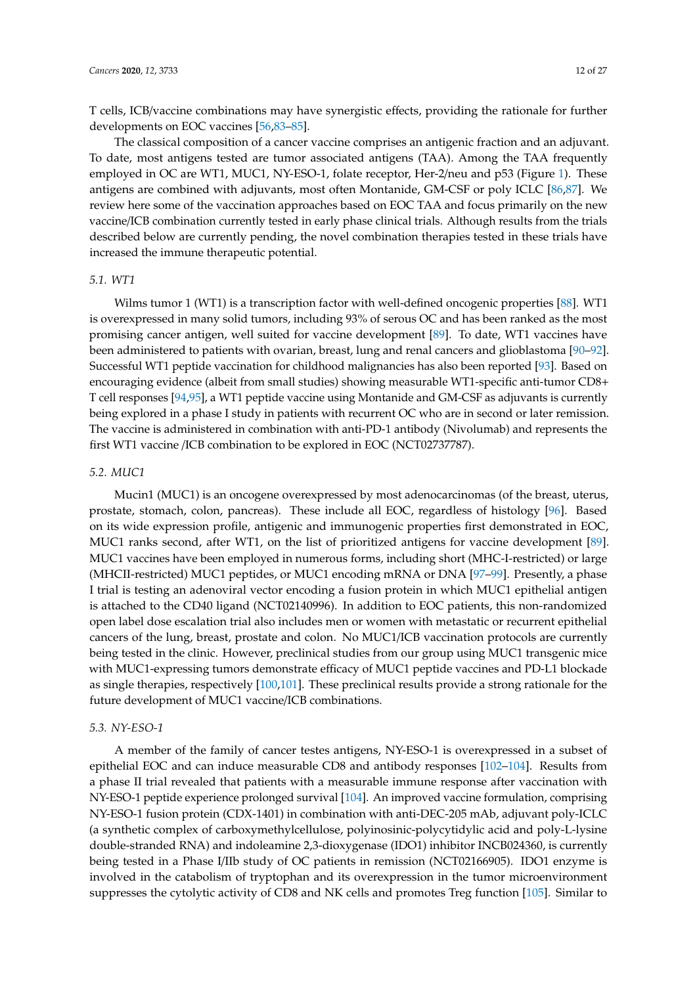T cells, ICB/vaccine combinations may have synergistic effects, providing the rationale for further developments on EOC vaccines [\[56,](#page-20-7)[83](#page-21-15)[–85\]](#page-22-0).

The classical composition of a cancer vaccine comprises an antigenic fraction and an adjuvant. To date, most antigens tested are tumor associated antigens (TAA). Among the TAA frequently employed in OC are WT1, MUC1, NY-ESO-1, folate receptor, Her-2/neu and p53 (Figure [1\)](#page-1-0). These antigens are combined with adjuvants, most often Montanide, GM-CSF or poly ICLC [\[86](#page-22-1)[,87\]](#page-22-2). We review here some of the vaccination approaches based on EOC TAA and focus primarily on the new vaccine/ICB combination currently tested in early phase clinical trials. Although results from the trials described below are currently pending, the novel combination therapies tested in these trials have increased the immune therapeutic potential.

# *5.1. WT1*

Wilms tumor 1 (WT1) is a transcription factor with well-defined oncogenic properties [\[88\]](#page-22-3). WT1 is overexpressed in many solid tumors, including 93% of serous OC and has been ranked as the most promising cancer antigen, well suited for vaccine development [\[89\]](#page-22-4). To date, WT1 vaccines have been administered to patients with ovarian, breast, lung and renal cancers and glioblastoma [\[90–](#page-22-5)[92\]](#page-22-6). Successful WT1 peptide vaccination for childhood malignancies has also been reported [\[93\]](#page-22-7). Based on encouraging evidence (albeit from small studies) showing measurable WT1-specific anti-tumor CD8+ T cell responses [\[94](#page-22-8)[,95\]](#page-22-9), a WT1 peptide vaccine using Montanide and GM-CSF as adjuvants is currently being explored in a phase I study in patients with recurrent OC who are in second or later remission. The vaccine is administered in combination with anti-PD-1 antibody (Nivolumab) and represents the first WT1 vaccine /ICB combination to be explored in EOC (NCT02737787).

### *5.2. MUC1*

Mucin1 (MUC1) is an oncogene overexpressed by most adenocarcinomas (of the breast, uterus, prostate, stomach, colon, pancreas). These include all EOC, regardless of histology [\[96\]](#page-22-10). Based on its wide expression profile, antigenic and immunogenic properties first demonstrated in EOC, MUC1 ranks second, after WT1, on the list of prioritized antigens for vaccine development [\[89\]](#page-22-4). MUC1 vaccines have been employed in numerous forms, including short (MHC-I-restricted) or large (MHCII-restricted) MUC1 peptides, or MUC1 encoding mRNA or DNA [\[97–](#page-22-11)[99\]](#page-22-12). Presently, a phase I trial is testing an adenoviral vector encoding a fusion protein in which MUC1 epithelial antigen is attached to the CD40 ligand (NCT02140996). In addition to EOC patients, this non-randomized open label dose escalation trial also includes men or women with metastatic or recurrent epithelial cancers of the lung, breast, prostate and colon. No MUC1/ICB vaccination protocols are currently being tested in the clinic. However, preclinical studies from our group using MUC1 transgenic mice with MUC1-expressing tumors demonstrate efficacy of MUC1 peptide vaccines and PD-L1 blockade as single therapies, respectively [\[100](#page-22-13)[,101\]](#page-22-14). These preclinical results provide a strong rationale for the future development of MUC1 vaccine/ICB combinations.

### *5.3. NY-ESO-1*

A member of the family of cancer testes antigens, NY-ESO-1 is overexpressed in a subset of epithelial EOC and can induce measurable CD8 and antibody responses [\[102–](#page-22-15)[104\]](#page-23-0). Results from a phase II trial revealed that patients with a measurable immune response after vaccination with NY-ESO-1 peptide experience prolonged survival [\[104\]](#page-23-0). An improved vaccine formulation, comprising NY-ESO-1 fusion protein (CDX-1401) in combination with anti-DEC-205 mAb, adjuvant poly-ICLC (a synthetic complex of carboxymethylcellulose, polyinosinic-polycytidylic acid and poly-L-lysine double-stranded RNA) and indoleamine 2,3-dioxygenase (IDO1) inhibitor INCB024360, is currently being tested in a Phase I/IIb study of OC patients in remission (NCT02166905). IDO1 enzyme is involved in the catabolism of tryptophan and its overexpression in the tumor microenvironment suppresses the cytolytic activity of CD8 and NK cells and promotes Treg function [\[105\]](#page-23-1). Similar to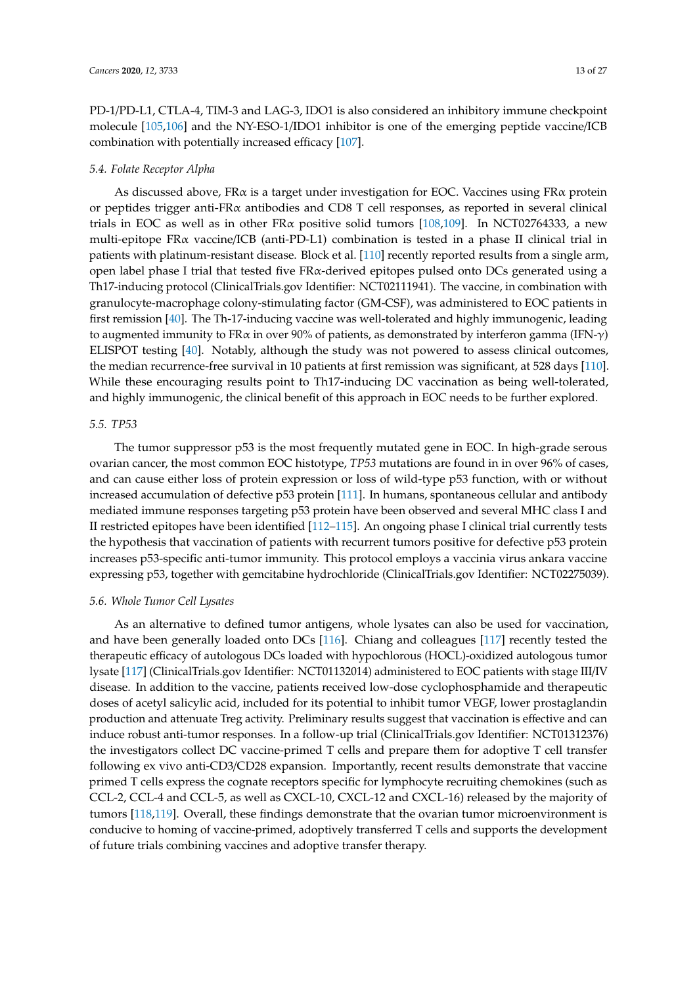PD-1/PD-L1, CTLA-4, TIM-3 and LAG-3, IDO1 is also considered an inhibitory immune checkpoint molecule [\[105,](#page-23-1)[106\]](#page-23-2) and the NY-ESO-1/IDO1 inhibitor is one of the emerging peptide vaccine/ICB combination with potentially increased efficacy [\[107\]](#page-23-3).

# *5.4. Folate Receptor Alpha*

As discussed above, FRα is a target under investigation for EOC. Vaccines using FRα protein or peptides trigger anti-FR $\alpha$  antibodies and CD8 T cell responses, as reported in several clinical trials in EOC as well as in other FR $\alpha$  positive solid tumors [\[108,](#page-23-4)[109\]](#page-23-5). In NCT02764333, a new multi-epitope FRα vaccine/ICB (anti-PD-L1) combination is tested in a phase II clinical trial in patients with platinum-resistant disease. Block et al. [\[110\]](#page-23-6) recently reported results from a single arm, open label phase I trial that tested five FRα-derived epitopes pulsed onto DCs generated using a Th17-inducing protocol (ClinicalTrials.gov Identifier: NCT02111941). The vaccine, in combination with granulocyte-macrophage colony-stimulating factor (GM-CSF), was administered to EOC patients in first remission [\[40\]](#page-19-8). The Th-17-inducing vaccine was well-tolerated and highly immunogenic, leading to augmented immunity to FR $\alpha$  in over 90% of patients, as demonstrated by interferon gamma (IFN- $\gamma$ ) ELISPOT testing [\[40\]](#page-19-8). Notably, although the study was not powered to assess clinical outcomes, the median recurrence-free survival in 10 patients at first remission was significant, at 528 days [\[110\]](#page-23-6). While these encouraging results point to Th17-inducing DC vaccination as being well-tolerated, and highly immunogenic, the clinical benefit of this approach in EOC needs to be further explored.

# *5.5. TP53*

The tumor suppressor p53 is the most frequently mutated gene in EOC. In high-grade serous ovarian cancer, the most common EOC histotype, *TP53* mutations are found in in over 96% of cases, and can cause either loss of protein expression or loss of wild-type p53 function, with or without increased accumulation of defective p53 protein [\[111\]](#page-23-7). In humans, spontaneous cellular and antibody mediated immune responses targeting p53 protein have been observed and several MHC class I and II restricted epitopes have been identified [\[112–](#page-23-8)[115\]](#page-23-9). An ongoing phase I clinical trial currently tests the hypothesis that vaccination of patients with recurrent tumors positive for defective p53 protein increases p53-specific anti-tumor immunity. This protocol employs a vaccinia virus ankara vaccine expressing p53, together with gemcitabine hydrochloride (ClinicalTrials.gov Identifier: NCT02275039).

# *5.6. Whole Tumor Cell Lysates*

As an alternative to defined tumor antigens, whole lysates can also be used for vaccination, and have been generally loaded onto DCs [\[116\]](#page-23-10). Chiang and colleagues [\[117\]](#page-23-11) recently tested the therapeutic efficacy of autologous DCs loaded with hypochlorous (HOCL)-oxidized autologous tumor lysate [\[117\]](#page-23-11) (ClinicalTrials.gov Identifier: NCT01132014) administered to EOC patients with stage III/IV disease. In addition to the vaccine, patients received low-dose cyclophosphamide and therapeutic doses of acetyl salicylic acid, included for its potential to inhibit tumor VEGF, lower prostaglandin production and attenuate Treg activity. Preliminary results suggest that vaccination is effective and can induce robust anti-tumor responses. In a follow-up trial (ClinicalTrials.gov Identifier: NCT01312376) the investigators collect DC vaccine-primed T cells and prepare them for adoptive T cell transfer following ex vivo anti-CD3/CD28 expansion. Importantly, recent results demonstrate that vaccine primed T cells express the cognate receptors specific for lymphocyte recruiting chemokines (such as CCL-2, CCL-4 and CCL-5, as well as CXCL-10, CXCL-12 and CXCL-16) released by the majority of tumors [\[118](#page-23-12)[,119\]](#page-23-13). Overall, these findings demonstrate that the ovarian tumor microenvironment is conducive to homing of vaccine-primed, adoptively transferred T cells and supports the development of future trials combining vaccines and adoptive transfer therapy.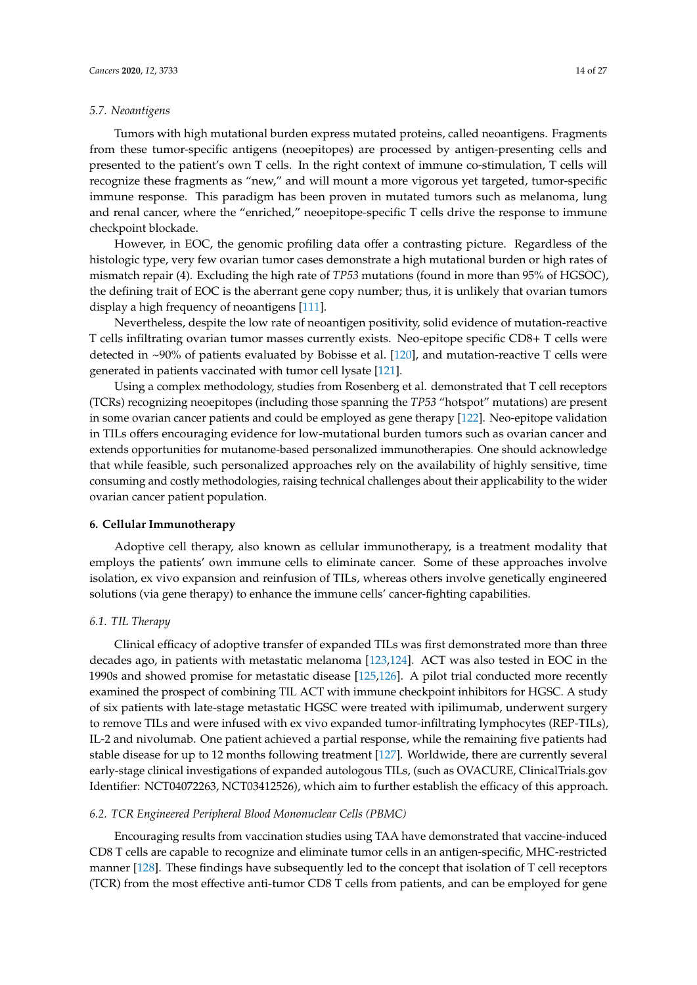### *5.7. Neoantigens*

Tumors with high mutational burden express mutated proteins, called neoantigens. Fragments from these tumor-specific antigens (neoepitopes) are processed by antigen-presenting cells and presented to the patient's own T cells. In the right context of immune co-stimulation, T cells will recognize these fragments as "new," and will mount a more vigorous yet targeted, tumor-specific immune response. This paradigm has been proven in mutated tumors such as melanoma, lung and renal cancer, where the "enriched," neoepitope-specific T cells drive the response to immune checkpoint blockade.

However, in EOC, the genomic profiling data offer a contrasting picture. Regardless of the histologic type, very few ovarian tumor cases demonstrate a high mutational burden or high rates of mismatch repair (4). Excluding the high rate of *TP53* mutations (found in more than 95% of HGSOC), the defining trait of EOC is the aberrant gene copy number; thus, it is unlikely that ovarian tumors display a high frequency of neoantigens [\[111\]](#page-23-7).

Nevertheless, despite the low rate of neoantigen positivity, solid evidence of mutation-reactive T cells infiltrating ovarian tumor masses currently exists. Neo-epitope specific CD8+ T cells were detected in ~90% of patients evaluated by Bobisse et al. [\[120\]](#page-24-0), and mutation-reactive T cells were generated in patients vaccinated with tumor cell lysate [\[121\]](#page-24-1).

Using a complex methodology, studies from Rosenberg et al. demonstrated that T cell receptors (TCRs) recognizing neoepitopes (including those spanning the *TP53* "hotspot" mutations) are present in some ovarian cancer patients and could be employed as gene therapy [\[122\]](#page-24-2). Neo-epitope validation in TILs offers encouraging evidence for low-mutational burden tumors such as ovarian cancer and extends opportunities for mutanome-based personalized immunotherapies. One should acknowledge that while feasible, such personalized approaches rely on the availability of highly sensitive, time consuming and costly methodologies, raising technical challenges about their applicability to the wider ovarian cancer patient population.

### **6. Cellular Immunotherapy**

Adoptive cell therapy, also known as cellular immunotherapy, is a treatment modality that employs the patients' own immune cells to eliminate cancer. Some of these approaches involve isolation, ex vivo expansion and reinfusion of TILs, whereas others involve genetically engineered solutions (via gene therapy) to enhance the immune cells' cancer-fighting capabilities.

## *6.1. TIL Therapy*

Clinical efficacy of adoptive transfer of expanded TILs was first demonstrated more than three decades ago, in patients with metastatic melanoma [\[123,](#page-24-3)[124\]](#page-24-4). ACT was also tested in EOC in the 1990s and showed promise for metastatic disease [\[125](#page-24-5)[,126\]](#page-24-6). A pilot trial conducted more recently examined the prospect of combining TIL ACT with immune checkpoint inhibitors for HGSC. A study of six patients with late-stage metastatic HGSC were treated with ipilimumab, underwent surgery to remove TILs and were infused with ex vivo expanded tumor-infiltrating lymphocytes (REP-TILs), IL-2 and nivolumab. One patient achieved a partial response, while the remaining five patients had stable disease for up to 12 months following treatment [\[127\]](#page-24-7). Worldwide, there are currently several early-stage clinical investigations of expanded autologous TILs, (such as OVACURE, ClinicalTrials.gov Identifier: NCT04072263, NCT03412526), which aim to further establish the efficacy of this approach.

### *6.2. TCR Engineered Peripheral Blood Mononuclear Cells (PBMC)*

Encouraging results from vaccination studies using TAA have demonstrated that vaccine-induced CD8 T cells are capable to recognize and eliminate tumor cells in an antigen-specific, MHC-restricted manner [\[128\]](#page-24-8). These findings have subsequently led to the concept that isolation of T cell receptors (TCR) from the most effective anti-tumor CD8 T cells from patients, and can be employed for gene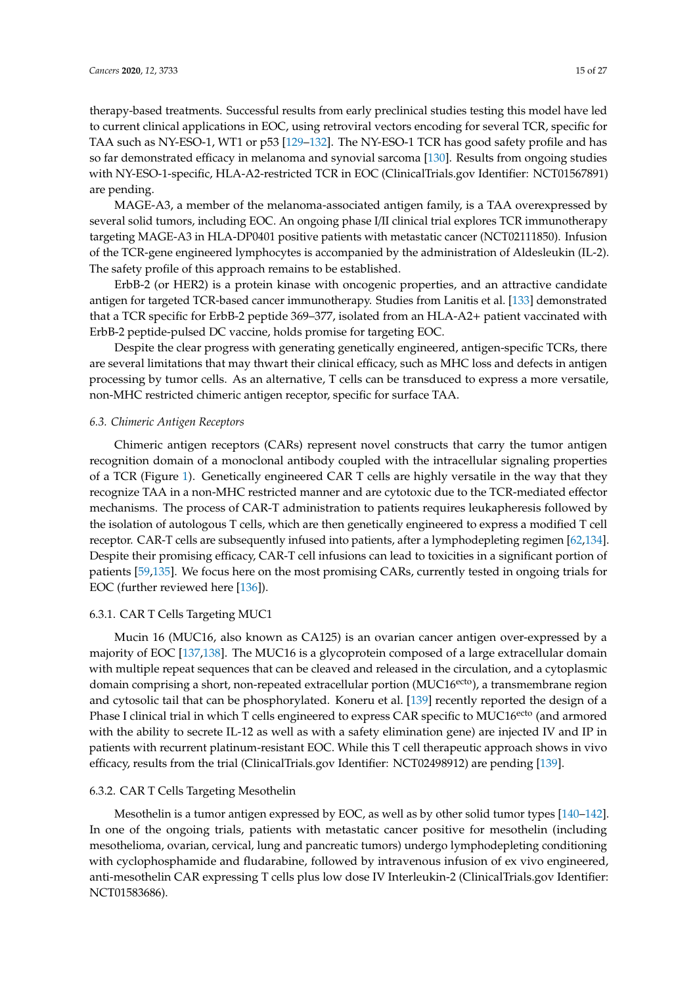therapy-based treatments. Successful results from early preclinical studies testing this model have led to current clinical applications in EOC, using retroviral vectors encoding for several TCR, specific for TAA such as NY-ESO-1, WT1 or p53 [\[129](#page-24-9)[–132\]](#page-24-10). The NY-ESO-1 TCR has good safety profile and has so far demonstrated efficacy in melanoma and synovial sarcoma [\[130\]](#page-24-11). Results from ongoing studies with NY-ESO-1-specific, HLA-A2-restricted TCR in EOC (ClinicalTrials.gov Identifier: NCT01567891) are pending.

MAGE-A3, a member of the melanoma-associated antigen family, is a TAA overexpressed by several solid tumors, including EOC. An ongoing phase I/II clinical trial explores TCR immunotherapy targeting MAGE-A3 in HLA-DP0401 positive patients with metastatic cancer (NCT02111850). Infusion of the TCR-gene engineered lymphocytes is accompanied by the administration of Aldesleukin (IL-2). The safety profile of this approach remains to be established.

ErbB-2 (or HER2) is a protein kinase with oncogenic properties, and an attractive candidate antigen for targeted TCR-based cancer immunotherapy. Studies from Lanitis et al. [\[133\]](#page-24-12) demonstrated that a TCR specific for ErbB-2 peptide 369–377, isolated from an HLA-A2+ patient vaccinated with ErbB-2 peptide-pulsed DC vaccine, holds promise for targeting EOC.

Despite the clear progress with generating genetically engineered, antigen-specific TCRs, there are several limitations that may thwart their clinical efficacy, such as MHC loss and defects in antigen processing by tumor cells. As an alternative, T cells can be transduced to express a more versatile, non-MHC restricted chimeric antigen receptor, specific for surface TAA.

# *6.3. Chimeric Antigen Receptors*

Chimeric antigen receptors (CARs) represent novel constructs that carry the tumor antigen recognition domain of a monoclonal antibody coupled with the intracellular signaling properties of a TCR (Figure [1\)](#page-1-0). Genetically engineered CAR T cells are highly versatile in the way that they recognize TAA in a non-MHC restricted manner and are cytotoxic due to the TCR-mediated effector mechanisms. The process of CAR-T administration to patients requires leukapheresis followed by the isolation of autologous T cells, which are then genetically engineered to express a modified T cell receptor. CAR-T cells are subsequently infused into patients, after a lymphodepleting regimen [\[62](#page-20-13)[,134\]](#page-24-13). Despite their promising efficacy, CAR-T cell infusions can lead to toxicities in a significant portion of patients [\[59,](#page-20-10)[135\]](#page-24-14). We focus here on the most promising CARs, currently tested in ongoing trials for EOC (further reviewed here [\[136\]](#page-24-15)).

# 6.3.1. CAR T Cells Targeting MUC1

Mucin 16 (MUC16, also known as CA125) is an ovarian cancer antigen over-expressed by a majority of EOC [\[137,](#page-24-16)[138\]](#page-25-0). The MUC16 is a glycoprotein composed of a large extracellular domain with multiple repeat sequences that can be cleaved and released in the circulation, and a cytoplasmic domain comprising a short, non-repeated extracellular portion (MUC16<sup>ecto</sup>), a transmembrane region and cytosolic tail that can be phosphorylated. Koneru et al. [\[139\]](#page-25-1) recently reported the design of a Phase I clinical trial in which T cells engineered to express CAR specific to MUC16<sup>ecto</sup> (and armored with the ability to secrete IL-12 as well as with a safety elimination gene) are injected IV and IP in patients with recurrent platinum-resistant EOC. While this T cell therapeutic approach shows in vivo efficacy, results from the trial (ClinicalTrials.gov Identifier: NCT02498912) are pending [\[139\]](#page-25-1).

# 6.3.2. CAR T Cells Targeting Mesothelin

Mesothelin is a tumor antigen expressed by EOC, as well as by other solid tumor types [\[140–](#page-25-2)[142\]](#page-25-3). In one of the ongoing trials, patients with metastatic cancer positive for mesothelin (including mesothelioma, ovarian, cervical, lung and pancreatic tumors) undergo lymphodepleting conditioning with cyclophosphamide and fludarabine, followed by intravenous infusion of ex vivo engineered, anti-mesothelin CAR expressing T cells plus low dose IV Interleukin-2 (ClinicalTrials.gov Identifier: NCT01583686).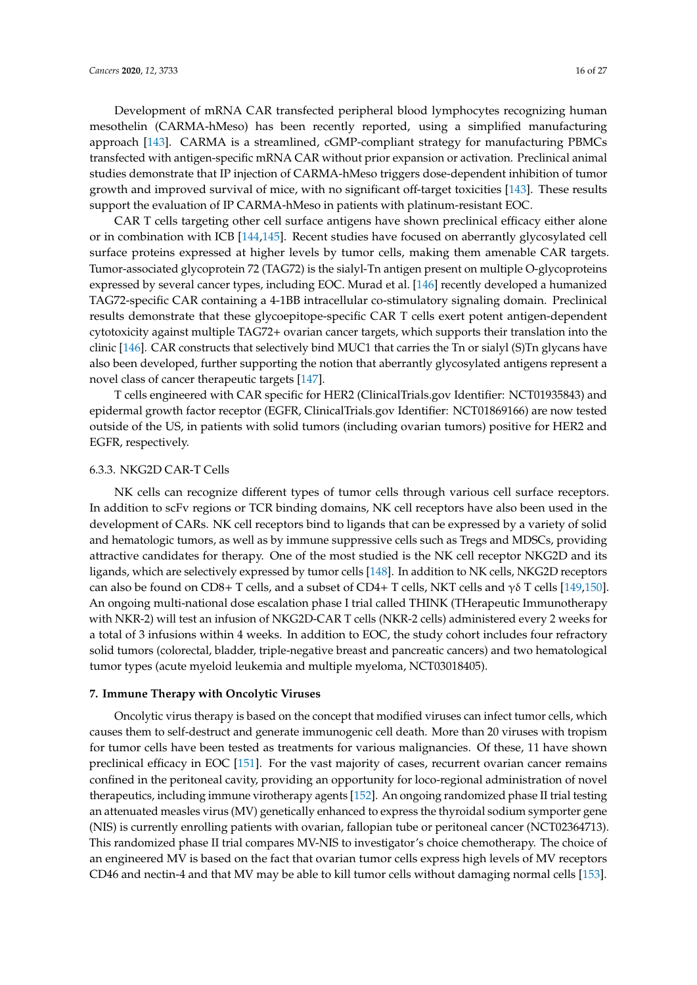Development of mRNA CAR transfected peripheral blood lymphocytes recognizing human mesothelin (CARMA-hMeso) has been recently reported, using a simplified manufacturing approach [\[143\]](#page-25-4). CARMA is a streamlined, cGMP-compliant strategy for manufacturing PBMCs transfected with antigen-specific mRNA CAR without prior expansion or activation. Preclinical animal studies demonstrate that IP injection of CARMA-hMeso triggers dose-dependent inhibition of tumor growth and improved survival of mice, with no significant off-target toxicities [\[143\]](#page-25-4). These results support the evaluation of IP CARMA-hMeso in patients with platinum-resistant EOC.

CAR T cells targeting other cell surface antigens have shown preclinical efficacy either alone or in combination with ICB [\[144,](#page-25-5)[145\]](#page-25-6). Recent studies have focused on aberrantly glycosylated cell surface proteins expressed at higher levels by tumor cells, making them amenable CAR targets. Tumor-associated glycoprotein 72 (TAG72) is the sialyl-Tn antigen present on multiple O-glycoproteins expressed by several cancer types, including EOC. Murad et al. [\[146\]](#page-25-7) recently developed a humanized TAG72-specific CAR containing a 4-1BB intracellular co-stimulatory signaling domain. Preclinical results demonstrate that these glycoepitope-specific CAR T cells exert potent antigen-dependent cytotoxicity against multiple TAG72+ ovarian cancer targets, which supports their translation into the clinic [\[146\]](#page-25-7). CAR constructs that selectively bind MUC1 that carries the Tn or sialyl (S)Tn glycans have also been developed, further supporting the notion that aberrantly glycosylated antigens represent a novel class of cancer therapeutic targets [\[147\]](#page-25-8).

T cells engineered with CAR specific for HER2 (ClinicalTrials.gov Identifier: NCT01935843) and epidermal growth factor receptor (EGFR, ClinicalTrials.gov Identifier: NCT01869166) are now tested outside of the US, in patients with solid tumors (including ovarian tumors) positive for HER2 and EGFR, respectively.

### 6.3.3. NKG2D CAR-T Cells

NK cells can recognize different types of tumor cells through various cell surface receptors. In addition to scFv regions or TCR binding domains, NK cell receptors have also been used in the development of CARs. NK cell receptors bind to ligands that can be expressed by a variety of solid and hematologic tumors, as well as by immune suppressive cells such as Tregs and MDSCs, providing attractive candidates for therapy. One of the most studied is the NK cell receptor NKG2D and its ligands, which are selectively expressed by tumor cells [\[148\]](#page-25-9). In addition to NK cells, NKG2D receptors can also be found on CD8+ T cells, and a subset of CD4+ T cells, NKT cells and  $\gamma\delta$  T cells [\[149,](#page-25-10)[150\]](#page-25-11). An ongoing multi-national dose escalation phase I trial called THINK (THerapeutic Immunotherapy with NKR-2) will test an infusion of NKG2D-CAR T cells (NKR-2 cells) administered every 2 weeks for a total of 3 infusions within 4 weeks. In addition to EOC, the study cohort includes four refractory solid tumors (colorectal, bladder, triple-negative breast and pancreatic cancers) and two hematological tumor types (acute myeloid leukemia and multiple myeloma, NCT03018405).

### **7. Immune Therapy with Oncolytic Viruses**

Oncolytic virus therapy is based on the concept that modified viruses can infect tumor cells, which causes them to self-destruct and generate immunogenic cell death. More than 20 viruses with tropism for tumor cells have been tested as treatments for various malignancies. Of these, 11 have shown preclinical efficacy in EOC [\[151\]](#page-25-12). For the vast majority of cases, recurrent ovarian cancer remains confined in the peritoneal cavity, providing an opportunity for loco-regional administration of novel therapeutics, including immune virotherapy agents [\[152\]](#page-25-13). An ongoing randomized phase II trial testing an attenuated measles virus (MV) genetically enhanced to express the thyroidal sodium symporter gene (NIS) is currently enrolling patients with ovarian, fallopian tube or peritoneal cancer (NCT02364713). This randomized phase II trial compares MV-NIS to investigator's choice chemotherapy. The choice of an engineered MV is based on the fact that ovarian tumor cells express high levels of MV receptors CD46 and nectin-4 and that MV may be able to kill tumor cells without damaging normal cells [\[153\]](#page-25-14).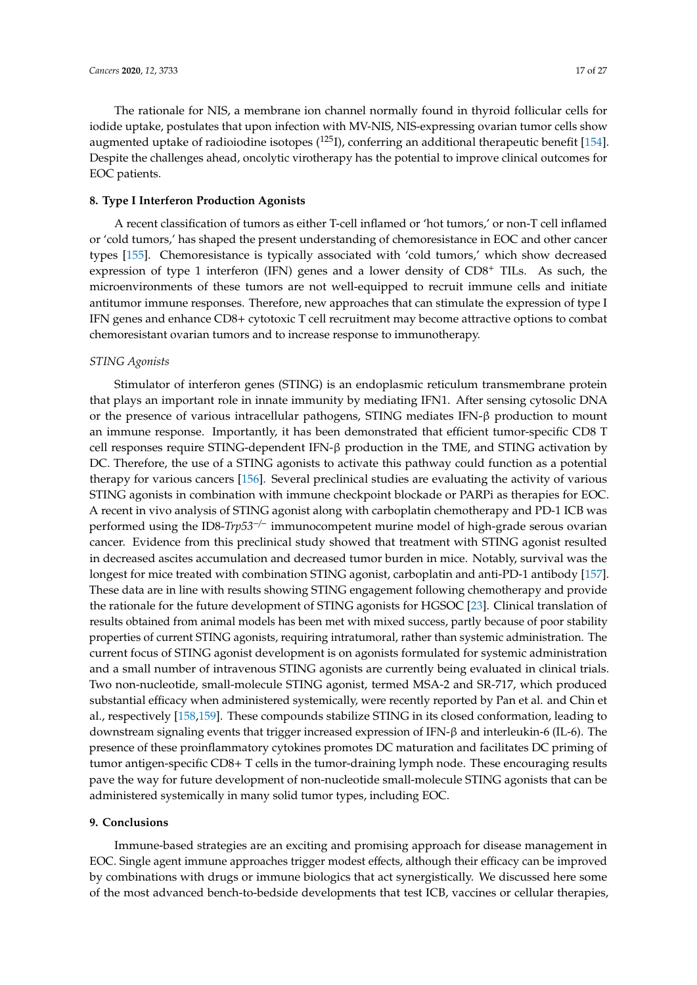The rationale for NIS, a membrane ion channel normally found in thyroid follicular cells for iodide uptake, postulates that upon infection with MV-NIS, NIS-expressing ovarian tumor cells show augmented uptake of radioiodine isotopes  $(^{125}I)$ , conferring an additional therapeutic benefit [\[154\]](#page-25-15). Despite the challenges ahead, oncolytic virotherapy has the potential to improve clinical outcomes for EOC patients.

### **8. Type I Interferon Production Agonists**

A recent classification of tumors as either T-cell inflamed or 'hot tumors,' or non-T cell inflamed or 'cold tumors,' has shaped the present understanding of chemoresistance in EOC and other cancer types [\[155\]](#page-25-16). Chemoresistance is typically associated with 'cold tumors,' which show decreased expression of type 1 interferon (IFN) genes and a lower density of  $CD8<sup>+</sup>$  TILs. As such, the microenvironments of these tumors are not well-equipped to recruit immune cells and initiate antitumor immune responses. Therefore, new approaches that can stimulate the expression of type I IFN genes and enhance CD8+ cytotoxic T cell recruitment may become attractive options to combat chemoresistant ovarian tumors and to increase response to immunotherapy.

#### *STING Agonists*

Stimulator of interferon genes (STING) is an endoplasmic reticulum transmembrane protein that plays an important role in innate immunity by mediating IFN1. After sensing cytosolic DNA or the presence of various intracellular pathogens, STING mediates IFN-β production to mount an immune response. Importantly, it has been demonstrated that efficient tumor-specific CD8 T cell responses require STING-dependent IFN-β production in the TME, and STING activation by DC. Therefore, the use of a STING agonists to activate this pathway could function as a potential therapy for various cancers [\[156\]](#page-25-17). Several preclinical studies are evaluating the activity of various STING agonists in combination with immune checkpoint blockade or PARPi as therapies for EOC. A recent in vivo analysis of STING agonist along with carboplatin chemotherapy and PD-1 ICB was performed using the ID8-*Trp53*−/<sup>−</sup> immunocompetent murine model of high-grade serous ovarian cancer. Evidence from this preclinical study showed that treatment with STING agonist resulted in decreased ascites accumulation and decreased tumor burden in mice. Notably, survival was the longest for mice treated with combination STING agonist, carboplatin and anti-PD-1 antibody [\[157\]](#page-25-18). These data are in line with results showing STING engagement following chemotherapy and provide the rationale for the future development of STING agonists for HGSOC [\[23\]](#page-18-10). Clinical translation of results obtained from animal models has been met with mixed success, partly because of poor stability properties of current STING agonists, requiring intratumoral, rather than systemic administration. The current focus of STING agonist development is on agonists formulated for systemic administration and a small number of intravenous STING agonists are currently being evaluated in clinical trials. Two non-nucleotide, small-molecule STING agonist, termed MSA-2 and SR-717, which produced substantial efficacy when administered systemically, were recently reported by Pan et al. and Chin et al., respectively [\[158,](#page-25-19)[159\]](#page-26-0). These compounds stabilize STING in its closed conformation, leading to downstream signaling events that trigger increased expression of IFN-β and interleukin-6 (IL-6). The presence of these proinflammatory cytokines promotes DC maturation and facilitates DC priming of tumor antigen-specific CD8+ T cells in the tumor-draining lymph node. These encouraging results pave the way for future development of non-nucleotide small-molecule STING agonists that can be administered systemically in many solid tumor types, including EOC.

#### **9. Conclusions**

Immune-based strategies are an exciting and promising approach for disease management in EOC. Single agent immune approaches trigger modest effects, although their efficacy can be improved by combinations with drugs or immune biologics that act synergistically. We discussed here some of the most advanced bench-to-bedside developments that test ICB, vaccines or cellular therapies,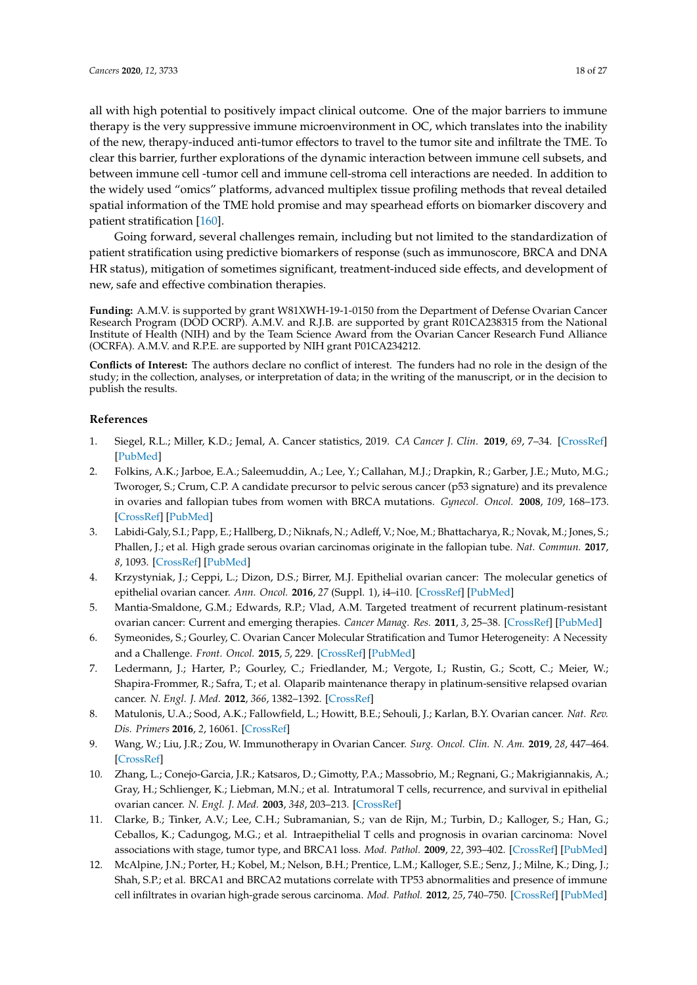all with high potential to positively impact clinical outcome. One of the major barriers to immune therapy is the very suppressive immune microenvironment in OC, which translates into the inability of the new, therapy-induced anti-tumor effectors to travel to the tumor site and infiltrate the TME. To clear this barrier, further explorations of the dynamic interaction between immune cell subsets, and between immune cell -tumor cell and immune cell-stroma cell interactions are needed. In addition to the widely used "omics" platforms, advanced multiplex tissue profiling methods that reveal detailed spatial information of the TME hold promise and may spearhead efforts on biomarker discovery and patient stratification [\[160\]](#page-26-1).

Going forward, several challenges remain, including but not limited to the standardization of patient stratification using predictive biomarkers of response (such as immunoscore, BRCA and DNA HR status), mitigation of sometimes significant, treatment-induced side effects, and development of new, safe and effective combination therapies.

**Funding:** A.M.V. is supported by grant W81XWH-19-1-0150 from the Department of Defense Ovarian Cancer Research Program (DOD OCRP). A.M.V. and R.J.B. are supported by grant R01CA238315 from the National Institute of Health (NIH) and by the Team Science Award from the Ovarian Cancer Research Fund Alliance (OCRFA). A.M.V. and R.P.E. are supported by NIH grant P01CA234212.

**Conflicts of Interest:** The authors declare no conflict of interest. The funders had no role in the design of the study; in the collection, analyses, or interpretation of data; in the writing of the manuscript, or in the decision to publish the results.

# **References**

- <span id="page-17-0"></span>1. Siegel, R.L.; Miller, K.D.; Jemal, A. Cancer statistics, 2019. *CA Cancer J. Clin.* **2019**, *69*, 7–34. [\[CrossRef\]](http://dx.doi.org/10.3322/caac.21551) [\[PubMed\]](http://www.ncbi.nlm.nih.gov/pubmed/30620402)
- <span id="page-17-1"></span>2. Folkins, A.K.; Jarboe, E.A.; Saleemuddin, A.; Lee, Y.; Callahan, M.J.; Drapkin, R.; Garber, J.E.; Muto, M.G.; Tworoger, S.; Crum, C.P. A candidate precursor to pelvic serous cancer (p53 signature) and its prevalence in ovaries and fallopian tubes from women with BRCA mutations. *Gynecol. Oncol.* **2008**, *109*, 168–173. [\[CrossRef\]](http://dx.doi.org/10.1016/j.ygyno.2008.01.012) [\[PubMed\]](http://www.ncbi.nlm.nih.gov/pubmed/18342932)
- <span id="page-17-2"></span>3. Labidi-Galy, S.I.; Papp, E.; Hallberg, D.; Niknafs, N.; Adleff, V.; Noe, M.; Bhattacharya, R.; Novak, M.; Jones, S.; Phallen, J.; et al. High grade serous ovarian carcinomas originate in the fallopian tube. *Nat. Commun.* **2017**, *8*, 1093. [\[CrossRef\]](http://dx.doi.org/10.1038/s41467-017-00962-1) [\[PubMed\]](http://www.ncbi.nlm.nih.gov/pubmed/29061967)
- <span id="page-17-3"></span>4. Krzystyniak, J.; Ceppi, L.; Dizon, D.S.; Birrer, M.J. Epithelial ovarian cancer: The molecular genetics of epithelial ovarian cancer. *Ann. Oncol.* **2016**, *27* (Suppl. 1), i4–i10. [\[CrossRef\]](http://dx.doi.org/10.1093/annonc/mdw083) [\[PubMed\]](http://www.ncbi.nlm.nih.gov/pubmed/27141069)
- <span id="page-17-4"></span>5. Mantia-Smaldone, G.M.; Edwards, R.P.; Vlad, A.M. Targeted treatment of recurrent platinum-resistant ovarian cancer: Current and emerging therapies. *Cancer Manag. Res.* **2011**, *3*, 25–38. [\[CrossRef\]](http://dx.doi.org/10.2147/CMAR.S8759) [\[PubMed\]](http://www.ncbi.nlm.nih.gov/pubmed/21734812)
- <span id="page-17-5"></span>6. Symeonides, S.; Gourley, C. Ovarian Cancer Molecular Stratification and Tumor Heterogeneity: A Necessity and a Challenge. *Front. Oncol.* **2015**, *5*, 229. [\[CrossRef\]](http://dx.doi.org/10.3389/fonc.2015.00229) [\[PubMed\]](http://www.ncbi.nlm.nih.gov/pubmed/26557500)
- <span id="page-17-6"></span>7. Ledermann, J.; Harter, P.; Gourley, C.; Friedlander, M.; Vergote, I.; Rustin, G.; Scott, C.; Meier, W.; Shapira-Frommer, R.; Safra, T.; et al. Olaparib maintenance therapy in platinum-sensitive relapsed ovarian cancer. *N. Engl. J. Med.* **2012**, *366*, 1382–1392. [\[CrossRef\]](http://dx.doi.org/10.1056/NEJMoa1105535)
- <span id="page-17-7"></span>8. Matulonis, U.A.; Sood, A.K.; Fallowfield, L.; Howitt, B.E.; Sehouli, J.; Karlan, B.Y. Ovarian cancer. *Nat. Rev. Dis. Primers* **2016**, *2*, 16061. [\[CrossRef\]](http://dx.doi.org/10.1038/nrdp.2016.61)
- <span id="page-17-8"></span>9. Wang, W.; Liu, J.R.; Zou, W. Immunotherapy in Ovarian Cancer. *Surg. Oncol. Clin. N. Am.* **2019**, *28*, 447–464. [\[CrossRef\]](http://dx.doi.org/10.1016/j.soc.2019.02.002)
- <span id="page-17-9"></span>10. Zhang, L.; Conejo-Garcia, J.R.; Katsaros, D.; Gimotty, P.A.; Massobrio, M.; Regnani, G.; Makrigiannakis, A.; Gray, H.; Schlienger, K.; Liebman, M.N.; et al. Intratumoral T cells, recurrence, and survival in epithelial ovarian cancer. *N. Engl. J. Med.* **2003**, *348*, 203–213. [\[CrossRef\]](http://dx.doi.org/10.1056/NEJMoa020177)
- <span id="page-17-10"></span>11. Clarke, B.; Tinker, A.V.; Lee, C.H.; Subramanian, S.; van de Rijn, M.; Turbin, D.; Kalloger, S.; Han, G.; Ceballos, K.; Cadungog, M.G.; et al. Intraepithelial T cells and prognosis in ovarian carcinoma: Novel associations with stage, tumor type, and BRCA1 loss. *Mod. Pathol.* **2009**, *22*, 393–402. [\[CrossRef\]](http://dx.doi.org/10.1038/modpathol.2008.191) [\[PubMed\]](http://www.ncbi.nlm.nih.gov/pubmed/19060844)
- <span id="page-17-11"></span>12. McAlpine, J.N.; Porter, H.; Kobel, M.; Nelson, B.H.; Prentice, L.M.; Kalloger, S.E.; Senz, J.; Milne, K.; Ding, J.; Shah, S.P.; et al. BRCA1 and BRCA2 mutations correlate with TP53 abnormalities and presence of immune cell infiltrates in ovarian high-grade serous carcinoma. *Mod. Pathol.* **2012**, *25*, 740–750. [\[CrossRef\]](http://dx.doi.org/10.1038/modpathol.2011.211) [\[PubMed\]](http://www.ncbi.nlm.nih.gov/pubmed/22282309)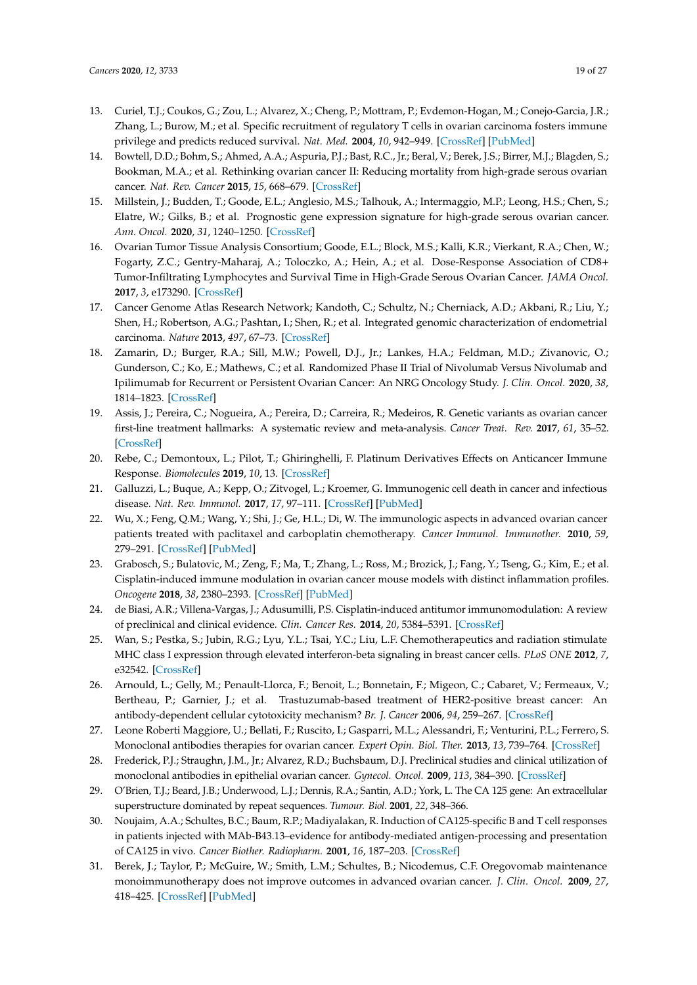- <span id="page-18-0"></span>13. Curiel, T.J.; Coukos, G.; Zou, L.; Alvarez, X.; Cheng, P.; Mottram, P.; Evdemon-Hogan, M.; Conejo-Garcia, J.R.; Zhang, L.; Burow, M.; et al. Specific recruitment of regulatory T cells in ovarian carcinoma fosters immune privilege and predicts reduced survival. *Nat. Med.* **2004**, *10*, 942–949. [\[CrossRef\]](http://dx.doi.org/10.1038/nm1093) [\[PubMed\]](http://www.ncbi.nlm.nih.gov/pubmed/15322536)
- <span id="page-18-1"></span>14. Bowtell, D.D.; Bohm, S.; Ahmed, A.A.; Aspuria, P.J.; Bast, R.C., Jr.; Beral, V.; Berek, J.S.; Birrer, M.J.; Blagden, S.; Bookman, M.A.; et al. Rethinking ovarian cancer II: Reducing mortality from high-grade serous ovarian cancer. *Nat. Rev. Cancer* **2015**, *15*, 668–679. [\[CrossRef\]](http://dx.doi.org/10.1038/nrc4019)
- <span id="page-18-2"></span>15. Millstein, J.; Budden, T.; Goode, E.L.; Anglesio, M.S.; Talhouk, A.; Intermaggio, M.P.; Leong, H.S.; Chen, S.; Elatre, W.; Gilks, B.; et al. Prognostic gene expression signature for high-grade serous ovarian cancer. *Ann. Oncol.* **2020**, *31*, 1240–1250. [\[CrossRef\]](http://dx.doi.org/10.1016/j.annonc.2020.05.019)
- <span id="page-18-3"></span>16. Ovarian Tumor Tissue Analysis Consortium; Goode, E.L.; Block, M.S.; Kalli, K.R.; Vierkant, R.A.; Chen, W.; Fogarty, Z.C.; Gentry-Maharaj, A.; Toloczko, A.; Hein, A.; et al. Dose-Response Association of CD8+ Tumor-Infiltrating Lymphocytes and Survival Time in High-Grade Serous Ovarian Cancer. *JAMA Oncol.* **2017**, *3*, e173290. [\[CrossRef\]](http://dx.doi.org/10.1001/jamaoncol.2017.3290)
- <span id="page-18-4"></span>17. Cancer Genome Atlas Research Network; Kandoth, C.; Schultz, N.; Cherniack, A.D.; Akbani, R.; Liu, Y.; Shen, H.; Robertson, A.G.; Pashtan, I.; Shen, R.; et al. Integrated genomic characterization of endometrial carcinoma. *Nature* **2013**, *497*, 67–73. [\[CrossRef\]](http://dx.doi.org/10.1038/nature12113)
- <span id="page-18-5"></span>18. Zamarin, D.; Burger, R.A.; Sill, M.W.; Powell, D.J., Jr.; Lankes, H.A.; Feldman, M.D.; Zivanovic, O.; Gunderson, C.; Ko, E.; Mathews, C.; et al. Randomized Phase II Trial of Nivolumab Versus Nivolumab and Ipilimumab for Recurrent or Persistent Ovarian Cancer: An NRG Oncology Study. *J. Clin. Oncol.* **2020**, *38*, 1814–1823. [\[CrossRef\]](http://dx.doi.org/10.1200/JCO.19.02059)
- <span id="page-18-6"></span>19. Assis, J.; Pereira, C.; Nogueira, A.; Pereira, D.; Carreira, R.; Medeiros, R. Genetic variants as ovarian cancer first-line treatment hallmarks: A systematic review and meta-analysis. *Cancer Treat. Rev.* **2017**, *61*, 35–52. [\[CrossRef\]](http://dx.doi.org/10.1016/j.ctrv.2017.10.001)
- <span id="page-18-7"></span>20. Rebe, C.; Demontoux, L.; Pilot, T.; Ghiringhelli, F. Platinum Derivatives Effects on Anticancer Immune Response. *Biomolecules* **2019**, *10*, 13. [\[CrossRef\]](http://dx.doi.org/10.3390/biom10010013)
- <span id="page-18-8"></span>21. Galluzzi, L.; Buque, A.; Kepp, O.; Zitvogel, L.; Kroemer, G. Immunogenic cell death in cancer and infectious disease. *Nat. Rev. Immunol.* **2017**, *17*, 97–111. [\[CrossRef\]](http://dx.doi.org/10.1038/nri.2016.107) [\[PubMed\]](http://www.ncbi.nlm.nih.gov/pubmed/27748397)
- <span id="page-18-9"></span>22. Wu, X.; Feng, Q.M.; Wang, Y.; Shi, J.; Ge, H.L.; Di, W. The immunologic aspects in advanced ovarian cancer patients treated with paclitaxel and carboplatin chemotherapy. *Cancer Immunol. Immunother.* **2010**, *59*, 279–291. [\[CrossRef\]](http://dx.doi.org/10.1007/s00262-009-0749-9) [\[PubMed\]](http://www.ncbi.nlm.nih.gov/pubmed/19727719)
- <span id="page-18-10"></span>23. Grabosch, S.; Bulatovic, M.; Zeng, F.; Ma, T.; Zhang, L.; Ross, M.; Brozick, J.; Fang, Y.; Tseng, G.; Kim, E.; et al. Cisplatin-induced immune modulation in ovarian cancer mouse models with distinct inflammation profiles. *Oncogene* **2018**, *38*, 2380–2393. [\[CrossRef\]](http://dx.doi.org/10.1038/s41388-018-0581-9) [\[PubMed\]](http://www.ncbi.nlm.nih.gov/pubmed/30518877)
- <span id="page-18-11"></span>24. de Biasi, A.R.; Villena-Vargas, J.; Adusumilli, P.S. Cisplatin-induced antitumor immunomodulation: A review of preclinical and clinical evidence. *Clin. Cancer Res.* **2014**, *20*, 5384–5391. [\[CrossRef\]](http://dx.doi.org/10.1158/1078-0432.CCR-14-1298)
- <span id="page-18-12"></span>25. Wan, S.; Pestka, S.; Jubin, R.G.; Lyu, Y.L.; Tsai, Y.C.; Liu, L.F. Chemotherapeutics and radiation stimulate MHC class I expression through elevated interferon-beta signaling in breast cancer cells. *PLoS ONE* **2012**, *7*, e32542. [\[CrossRef\]](http://dx.doi.org/10.1371/journal.pone.0032542)
- <span id="page-18-13"></span>26. Arnould, L.; Gelly, M.; Penault-Llorca, F.; Benoit, L.; Bonnetain, F.; Migeon, C.; Cabaret, V.; Fermeaux, V.; Bertheau, P.; Garnier, J.; et al. Trastuzumab-based treatment of HER2-positive breast cancer: An antibody-dependent cellular cytotoxicity mechanism? *Br. J. Cancer* **2006**, *94*, 259–267. [\[CrossRef\]](http://dx.doi.org/10.1038/sj.bjc.6602930)
- <span id="page-18-14"></span>27. Leone Roberti Maggiore, U.; Bellati, F.; Ruscito, I.; Gasparri, M.L.; Alessandri, F.; Venturini, P.L.; Ferrero, S. Monoclonal antibodies therapies for ovarian cancer. *Expert Opin. Biol. Ther.* **2013**, *13*, 739–764. [\[CrossRef\]](http://dx.doi.org/10.1517/14712598.2013.767328)
- <span id="page-18-15"></span>28. Frederick, P.J.; Straughn, J.M., Jr.; Alvarez, R.D.; Buchsbaum, D.J. Preclinical studies and clinical utilization of monoclonal antibodies in epithelial ovarian cancer. *Gynecol. Oncol.* **2009**, *113*, 384–390. [\[CrossRef\]](http://dx.doi.org/10.1016/j.ygyno.2009.01.008)
- <span id="page-18-16"></span>29. O'Brien, T.J.; Beard, J.B.; Underwood, L.J.; Dennis, R.A.; Santin, A.D.; York, L. The CA 125 gene: An extracellular superstructure dominated by repeat sequences. *Tumour. Biol.* **2001**, *22*, 348–366.
- <span id="page-18-17"></span>30. Noujaim, A.A.; Schultes, B.C.; Baum, R.P.; Madiyalakan, R. Induction of CA125-specific B and T cell responses in patients injected with MAb-B43.13–evidence for antibody-mediated antigen-processing and presentation of CA125 in vivo. *Cancer Biother. Radiopharm.* **2001**, *16*, 187–203. [\[CrossRef\]](http://dx.doi.org/10.1089/10849780152389384)
- <span id="page-18-18"></span>31. Berek, J.; Taylor, P.; McGuire, W.; Smith, L.M.; Schultes, B.; Nicodemus, C.F. Oregovomab maintenance monoimmunotherapy does not improve outcomes in advanced ovarian cancer. *J. Clin. Oncol.* **2009**, *27*, 418–425. [\[CrossRef\]](http://dx.doi.org/10.1200/JCO.2008.17.8400) [\[PubMed\]](http://www.ncbi.nlm.nih.gov/pubmed/19075271)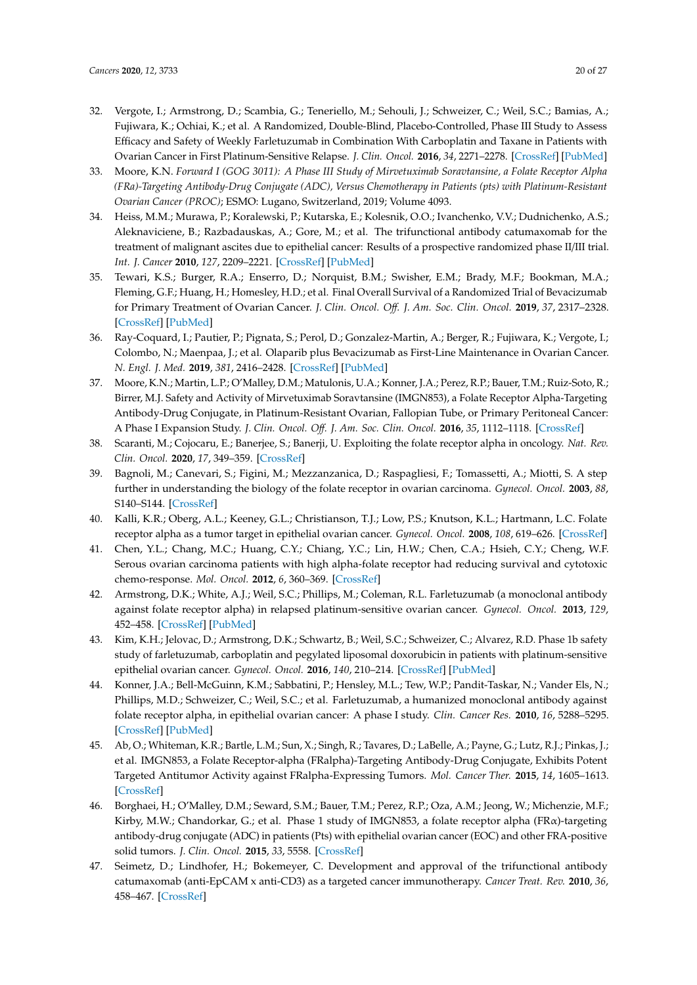- <span id="page-19-0"></span>32. Vergote, I.; Armstrong, D.; Scambia, G.; Teneriello, M.; Sehouli, J.; Schweizer, C.; Weil, S.C.; Bamias, A.; Fujiwara, K.; Ochiai, K.; et al. A Randomized, Double-Blind, Placebo-Controlled, Phase III Study to Assess Efficacy and Safety of Weekly Farletuzumab in Combination With Carboplatin and Taxane in Patients with Ovarian Cancer in First Platinum-Sensitive Relapse. *J. Clin. Oncol.* **2016**, *34*, 2271–2278. [\[CrossRef\]](http://dx.doi.org/10.1200/JCO.2015.63.2596) [\[PubMed\]](http://www.ncbi.nlm.nih.gov/pubmed/27001568)
- <span id="page-19-1"></span>33. Moore, K.N. *Forward I (GOG 3011): A Phase III Study of Mirvetuximab Soravtansine, a Folate Receptor Alpha (FRa)-Targeting Antibody-Drug Conjugate (ADC), Versus Chemotherapy in Patients (pts) with Platinum-Resistant Ovarian Cancer (PROC)*; ESMO: Lugano, Switzerland, 2019; Volume 4093.
- <span id="page-19-2"></span>34. Heiss, M.M.; Murawa, P.; Koralewski, P.; Kutarska, E.; Kolesnik, O.O.; Ivanchenko, V.V.; Dudnichenko, A.S.; Aleknaviciene, B.; Razbadauskas, A.; Gore, M.; et al. The trifunctional antibody catumaxomab for the treatment of malignant ascites due to epithelial cancer: Results of a prospective randomized phase II/III trial. *Int. J. Cancer* **2010**, *127*, 2209–2221. [\[CrossRef\]](http://dx.doi.org/10.1002/ijc.25423) [\[PubMed\]](http://www.ncbi.nlm.nih.gov/pubmed/20473913)
- <span id="page-19-3"></span>35. Tewari, K.S.; Burger, R.A.; Enserro, D.; Norquist, B.M.; Swisher, E.M.; Brady, M.F.; Bookman, M.A.; Fleming, G.F.; Huang, H.; Homesley, H.D.; et al. Final Overall Survival of a Randomized Trial of Bevacizumab for Primary Treatment of Ovarian Cancer. *J. Clin. Oncol. O*ff*. J. Am. Soc. Clin. Oncol.* **2019**, *37*, 2317–2328. [\[CrossRef\]](http://dx.doi.org/10.1200/JCO.19.01009) [\[PubMed\]](http://www.ncbi.nlm.nih.gov/pubmed/31216226)
- <span id="page-19-4"></span>36. Ray-Coquard, I.; Pautier, P.; Pignata, S.; Perol, D.; Gonzalez-Martin, A.; Berger, R.; Fujiwara, K.; Vergote, I.; Colombo, N.; Maenpaa, J.; et al. Olaparib plus Bevacizumab as First-Line Maintenance in Ovarian Cancer. *N. Engl. J. Med.* **2019**, *381*, 2416–2428. [\[CrossRef\]](http://dx.doi.org/10.1056/NEJMoa1911361) [\[PubMed\]](http://www.ncbi.nlm.nih.gov/pubmed/31851799)
- <span id="page-19-5"></span>37. Moore, K.N.; Martin, L.P.; O'Malley, D.M.; Matulonis, U.A.; Konner, J.A.; Perez, R.P.; Bauer, T.M.; Ruiz-Soto, R.; Birrer, M.J. Safety and Activity of Mirvetuximab Soravtansine (IMGN853), a Folate Receptor Alpha-Targeting Antibody-Drug Conjugate, in Platinum-Resistant Ovarian, Fallopian Tube, or Primary Peritoneal Cancer: A Phase I Expansion Study. *J. Clin. Oncol. O*ff*. J. Am. Soc. Clin. Oncol.* **2016**, *35*, 1112–1118. [\[CrossRef\]](http://dx.doi.org/10.1200/JCO.2016.69.9538)
- <span id="page-19-6"></span>38. Scaranti, M.; Cojocaru, E.; Banerjee, S.; Banerji, U. Exploiting the folate receptor alpha in oncology. *Nat. Rev. Clin. Oncol.* **2020**, *17*, 349–359. [\[CrossRef\]](http://dx.doi.org/10.1038/s41571-020-0339-5)
- <span id="page-19-7"></span>39. Bagnoli, M.; Canevari, S.; Figini, M.; Mezzanzanica, D.; Raspagliesi, F.; Tomassetti, A.; Miotti, S. A step further in understanding the biology of the folate receptor in ovarian carcinoma. *Gynecol. Oncol.* **2003**, *88*, S140–S144. [\[CrossRef\]](http://dx.doi.org/10.1006/gyno.2002.6705)
- <span id="page-19-8"></span>40. Kalli, K.R.; Oberg, A.L.; Keeney, G.L.; Christianson, T.J.; Low, P.S.; Knutson, K.L.; Hartmann, L.C. Folate receptor alpha as a tumor target in epithelial ovarian cancer. *Gynecol. Oncol.* **2008**, *108*, 619–626. [\[CrossRef\]](http://dx.doi.org/10.1016/j.ygyno.2007.11.020)
- <span id="page-19-9"></span>41. Chen, Y.L.; Chang, M.C.; Huang, C.Y.; Chiang, Y.C.; Lin, H.W.; Chen, C.A.; Hsieh, C.Y.; Cheng, W.F. Serous ovarian carcinoma patients with high alpha-folate receptor had reducing survival and cytotoxic chemo-response. *Mol. Oncol.* **2012**, *6*, 360–369. [\[CrossRef\]](http://dx.doi.org/10.1016/j.molonc.2011.11.010)
- <span id="page-19-10"></span>42. Armstrong, D.K.; White, A.J.; Weil, S.C.; Phillips, M.; Coleman, R.L. Farletuzumab (a monoclonal antibody against folate receptor alpha) in relapsed platinum-sensitive ovarian cancer. *Gynecol. Oncol.* **2013**, *129*, 452–458. [\[CrossRef\]](http://dx.doi.org/10.1016/j.ygyno.2013.03.002) [\[PubMed\]](http://www.ncbi.nlm.nih.gov/pubmed/23474348)
- 43. Kim, K.H.; Jelovac, D.; Armstrong, D.K.; Schwartz, B.; Weil, S.C.; Schweizer, C.; Alvarez, R.D. Phase 1b safety study of farletuzumab, carboplatin and pegylated liposomal doxorubicin in patients with platinum-sensitive epithelial ovarian cancer. *Gynecol. Oncol.* **2016**, *140*, 210–214. [\[CrossRef\]](http://dx.doi.org/10.1016/j.ygyno.2015.11.031) [\[PubMed\]](http://www.ncbi.nlm.nih.gov/pubmed/26644263)
- <span id="page-19-11"></span>44. Konner, J.A.; Bell-McGuinn, K.M.; Sabbatini, P.; Hensley, M.L.; Tew, W.P.; Pandit-Taskar, N.; Vander Els, N.; Phillips, M.D.; Schweizer, C.; Weil, S.C.; et al. Farletuzumab, a humanized monoclonal antibody against folate receptor alpha, in epithelial ovarian cancer: A phase I study. *Clin. Cancer Res.* **2010**, *16*, 5288–5295. [\[CrossRef\]](http://dx.doi.org/10.1158/1078-0432.CCR-10-0700) [\[PubMed\]](http://www.ncbi.nlm.nih.gov/pubmed/20855460)
- <span id="page-19-12"></span>45. Ab, O.; Whiteman, K.R.; Bartle, L.M.; Sun, X.; Singh, R.; Tavares, D.; LaBelle, A.; Payne, G.; Lutz, R.J.; Pinkas, J.; et al. IMGN853, a Folate Receptor-alpha (FRalpha)-Targeting Antibody-Drug Conjugate, Exhibits Potent Targeted Antitumor Activity against FRalpha-Expressing Tumors. *Mol. Cancer Ther.* **2015**, *14*, 1605–1613. [\[CrossRef\]](http://dx.doi.org/10.1158/1535-7163.MCT-14-1095)
- <span id="page-19-13"></span>46. Borghaei, H.; O'Malley, D.M.; Seward, S.M.; Bauer, T.M.; Perez, R.P.; Oza, A.M.; Jeong, W.; Michenzie, M.F.; Kirby, M.W.; Chandorkar, G.; et al. Phase 1 study of IMGN853, a folate receptor alpha (FRα)-targeting antibody-drug conjugate (ADC) in patients (Pts) with epithelial ovarian cancer (EOC) and other FRA-positive solid tumors. *J. Clin. Oncol.* **2015**, *33*, 5558. [\[CrossRef\]](http://dx.doi.org/10.1200/jco.2015.33.15_suppl.5558)
- <span id="page-19-14"></span>47. Seimetz, D.; Lindhofer, H.; Bokemeyer, C. Development and approval of the trifunctional antibody catumaxomab (anti-EpCAM x anti-CD3) as a targeted cancer immunotherapy. *Cancer Treat. Rev.* **2010**, *36*, 458–467. [\[CrossRef\]](http://dx.doi.org/10.1016/j.ctrv.2010.03.001)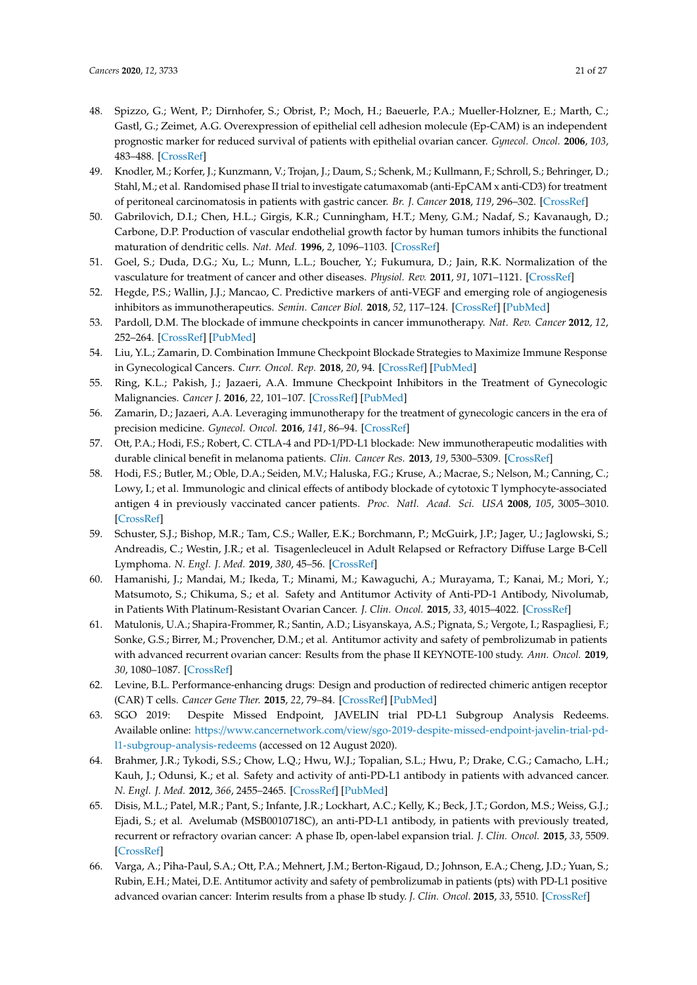- <span id="page-20-0"></span>48. Spizzo, G.; Went, P.; Dirnhofer, S.; Obrist, P.; Moch, H.; Baeuerle, P.A.; Mueller-Holzner, E.; Marth, C.; Gastl, G.; Zeimet, A.G. Overexpression of epithelial cell adhesion molecule (Ep-CAM) is an independent prognostic marker for reduced survival of patients with epithelial ovarian cancer. *Gynecol. Oncol.* **2006**, *103*, 483–488. [\[CrossRef\]](http://dx.doi.org/10.1016/j.ygyno.2006.03.035)
- <span id="page-20-1"></span>49. Knodler, M.; Korfer, J.; Kunzmann, V.; Trojan, J.; Daum, S.; Schenk, M.; Kullmann, F.; Schroll, S.; Behringer, D.; Stahl, M.; et al. Randomised phase II trial to investigate catumaxomab (anti-EpCAM x anti-CD3) for treatment of peritoneal carcinomatosis in patients with gastric cancer. *Br. J. Cancer* **2018**, *119*, 296–302. [\[CrossRef\]](http://dx.doi.org/10.1038/s41416-018-0150-6)
- <span id="page-20-2"></span>50. Gabrilovich, D.I.; Chen, H.L.; Girgis, K.R.; Cunningham, H.T.; Meny, G.M.; Nadaf, S.; Kavanaugh, D.; Carbone, D.P. Production of vascular endothelial growth factor by human tumors inhibits the functional maturation of dendritic cells. *Nat. Med.* **1996**, *2*, 1096–1103. [\[CrossRef\]](http://dx.doi.org/10.1038/nm1096-1096)
- <span id="page-20-3"></span>51. Goel, S.; Duda, D.G.; Xu, L.; Munn, L.L.; Boucher, Y.; Fukumura, D.; Jain, R.K. Normalization of the vasculature for treatment of cancer and other diseases. *Physiol. Rev.* **2011**, *91*, 1071–1121. [\[CrossRef\]](http://dx.doi.org/10.1152/physrev.00038.2010)
- <span id="page-20-4"></span>52. Hegde, P.S.; Wallin, J.J.; Mancao, C. Predictive markers of anti-VEGF and emerging role of angiogenesis inhibitors as immunotherapeutics. *Semin. Cancer Biol.* **2018**, *52*, 117–124. [\[CrossRef\]](http://dx.doi.org/10.1016/j.semcancer.2017.12.002) [\[PubMed\]](http://www.ncbi.nlm.nih.gov/pubmed/29229461)
- <span id="page-20-5"></span>53. Pardoll, D.M. The blockade of immune checkpoints in cancer immunotherapy. *Nat. Rev. Cancer* **2012**, *12*, 252–264. [\[CrossRef\]](http://dx.doi.org/10.1038/nrc3239) [\[PubMed\]](http://www.ncbi.nlm.nih.gov/pubmed/22437870)
- <span id="page-20-6"></span>54. Liu, Y.L.; Zamarin, D. Combination Immune Checkpoint Blockade Strategies to Maximize Immune Response in Gynecological Cancers. *Curr. Oncol. Rep.* **2018**, *20*, 94. [\[CrossRef\]](http://dx.doi.org/10.1007/s11912-018-0740-8) [\[PubMed\]](http://www.ncbi.nlm.nih.gov/pubmed/30421009)
- 55. Ring, K.L.; Pakish, J.; Jazaeri, A.A. Immune Checkpoint Inhibitors in the Treatment of Gynecologic Malignancies. *Cancer J.* **2016**, *22*, 101–107. [\[CrossRef\]](http://dx.doi.org/10.1097/PPO.0000000000000179) [\[PubMed\]](http://www.ncbi.nlm.nih.gov/pubmed/27111905)
- <span id="page-20-7"></span>56. Zamarin, D.; Jazaeri, A.A. Leveraging immunotherapy for the treatment of gynecologic cancers in the era of precision medicine. *Gynecol. Oncol.* **2016**, *141*, 86–94. [\[CrossRef\]](http://dx.doi.org/10.1016/j.ygyno.2015.12.030)
- <span id="page-20-8"></span>57. Ott, P.A.; Hodi, F.S.; Robert, C. CTLA-4 and PD-1/PD-L1 blockade: New immunotherapeutic modalities with durable clinical benefit in melanoma patients. *Clin. Cancer Res.* **2013**, *19*, 5300–5309. [\[CrossRef\]](http://dx.doi.org/10.1158/1078-0432.CCR-13-0143)
- <span id="page-20-9"></span>58. Hodi, F.S.; Butler, M.; Oble, D.A.; Seiden, M.V.; Haluska, F.G.; Kruse, A.; Macrae, S.; Nelson, M.; Canning, C.; Lowy, I.; et al. Immunologic and clinical effects of antibody blockade of cytotoxic T lymphocyte-associated antigen 4 in previously vaccinated cancer patients. *Proc. Natl. Acad. Sci. USA* **2008**, *105*, 3005–3010. [\[CrossRef\]](http://dx.doi.org/10.1073/pnas.0712237105)
- <span id="page-20-10"></span>59. Schuster, S.J.; Bishop, M.R.; Tam, C.S.; Waller, E.K.; Borchmann, P.; McGuirk, J.P.; Jager, U.; Jaglowski, S.; Andreadis, C.; Westin, J.R.; et al. Tisagenlecleucel in Adult Relapsed or Refractory Diffuse Large B-Cell Lymphoma. *N. Engl. J. Med.* **2019**, *380*, 45–56. [\[CrossRef\]](http://dx.doi.org/10.1056/NEJMoa1804980)
- <span id="page-20-11"></span>60. Hamanishi, J.; Mandai, M.; Ikeda, T.; Minami, M.; Kawaguchi, A.; Murayama, T.; Kanai, M.; Mori, Y.; Matsumoto, S.; Chikuma, S.; et al. Safety and Antitumor Activity of Anti-PD-1 Antibody, Nivolumab, in Patients With Platinum-Resistant Ovarian Cancer. *J. Clin. Oncol.* **2015**, *33*, 4015–4022. [\[CrossRef\]](http://dx.doi.org/10.1200/JCO.2015.62.3397)
- <span id="page-20-12"></span>61. Matulonis, U.A.; Shapira-Frommer, R.; Santin, A.D.; Lisyanskaya, A.S.; Pignata, S.; Vergote, I.; Raspagliesi, F.; Sonke, G.S.; Birrer, M.; Provencher, D.M.; et al. Antitumor activity and safety of pembrolizumab in patients with advanced recurrent ovarian cancer: Results from the phase II KEYNOTE-100 study. *Ann. Oncol.* **2019**, *30*, 1080–1087. [\[CrossRef\]](http://dx.doi.org/10.1093/annonc/mdz135)
- <span id="page-20-13"></span>62. Levine, B.L. Performance-enhancing drugs: Design and production of redirected chimeric antigen receptor (CAR) T cells. *Cancer Gene Ther.* **2015**, *22*, 79–84. [\[CrossRef\]](http://dx.doi.org/10.1038/cgt.2015.5) [\[PubMed\]](http://www.ncbi.nlm.nih.gov/pubmed/25675873)
- <span id="page-20-14"></span>63. SGO 2019: Despite Missed Endpoint, JAVELIN trial PD-L1 Subgroup Analysis Redeems. Available online: https://www.cancernetwork.com/view/[sgo-2019-despite-missed-endpoint-javelin-trial-pd](https://www.cancernetwork.com/view/sgo-2019-despite-missed-endpoint-javelin-trial-pd-l1-subgroup-analysis-redeems)[l1-subgroup-analysis-redeems](https://www.cancernetwork.com/view/sgo-2019-despite-missed-endpoint-javelin-trial-pd-l1-subgroup-analysis-redeems) (accessed on 12 August 2020).
- <span id="page-20-15"></span>64. Brahmer, J.R.; Tykodi, S.S.; Chow, L.Q.; Hwu, W.J.; Topalian, S.L.; Hwu, P.; Drake, C.G.; Camacho, L.H.; Kauh, J.; Odunsi, K.; et al. Safety and activity of anti-PD-L1 antibody in patients with advanced cancer. *N. Engl. J. Med.* **2012**, *366*, 2455–2465. [\[CrossRef\]](http://dx.doi.org/10.1056/NEJMoa1200694) [\[PubMed\]](http://www.ncbi.nlm.nih.gov/pubmed/22658128)
- <span id="page-20-16"></span>65. Disis, M.L.; Patel, M.R.; Pant, S.; Infante, J.R.; Lockhart, A.C.; Kelly, K.; Beck, J.T.; Gordon, M.S.; Weiss, G.J.; Ejadi, S.; et al. Avelumab (MSB0010718C), an anti-PD-L1 antibody, in patients with previously treated, recurrent or refractory ovarian cancer: A phase Ib, open-label expansion trial. *J. Clin. Oncol.* **2015**, *33*, 5509. [\[CrossRef\]](http://dx.doi.org/10.1200/jco.2015.33.15_suppl.5509)
- <span id="page-20-17"></span>66. Varga, A.; Piha-Paul, S.A.; Ott, P.A.; Mehnert, J.M.; Berton-Rigaud, D.; Johnson, E.A.; Cheng, J.D.; Yuan, S.; Rubin, E.H.; Matei, D.E. Antitumor activity and safety of pembrolizumab in patients (pts) with PD-L1 positive advanced ovarian cancer: Interim results from a phase Ib study. *J. Clin. Oncol.* **2015**, *33*, 5510. [\[CrossRef\]](http://dx.doi.org/10.1200/jco.2015.33.15_suppl.5510)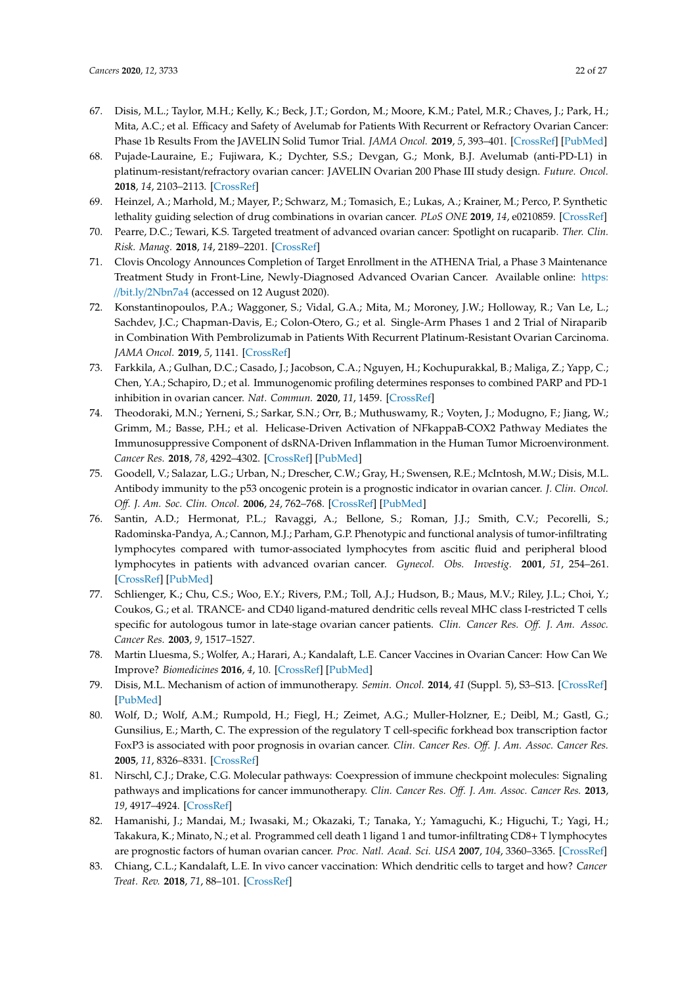- <span id="page-21-0"></span>67. Disis, M.L.; Taylor, M.H.; Kelly, K.; Beck, J.T.; Gordon, M.; Moore, K.M.; Patel, M.R.; Chaves, J.; Park, H.; Mita, A.C.; et al. Efficacy and Safety of Avelumab for Patients With Recurrent or Refractory Ovarian Cancer: Phase 1b Results From the JAVELIN Solid Tumor Trial. *JAMA Oncol.* **2019**, *5*, 393–401. [\[CrossRef\]](http://dx.doi.org/10.1001/jamaoncol.2018.6258) [\[PubMed\]](http://www.ncbi.nlm.nih.gov/pubmed/30676622)
- <span id="page-21-1"></span>68. Pujade-Lauraine, E.; Fujiwara, K.; Dychter, S.S.; Devgan, G.; Monk, B.J. Avelumab (anti-PD-L1) in platinum-resistant/refractory ovarian cancer: JAVELIN Ovarian 200 Phase III study design. *Future. Oncol.* **2018**, *14*, 2103–2113. [\[CrossRef\]](http://dx.doi.org/10.2217/fon-2018-0070)
- <span id="page-21-2"></span>69. Heinzel, A.; Marhold, M.; Mayer, P.; Schwarz, M.; Tomasich, E.; Lukas, A.; Krainer, M.; Perco, P. Synthetic lethality guiding selection of drug combinations in ovarian cancer. *PLoS ONE* **2019**, *14*, e0210859. [\[CrossRef\]](http://dx.doi.org/10.1371/journal.pone.0210859)
- <span id="page-21-3"></span>70. Pearre, D.C.; Tewari, K.S. Targeted treatment of advanced ovarian cancer: Spotlight on rucaparib. *Ther. Clin. Risk. Manag.* **2018**, *14*, 2189–2201. [\[CrossRef\]](http://dx.doi.org/10.2147/TCRM.S149248)
- <span id="page-21-4"></span>71. Clovis Oncology Announces Completion of Target Enrollment in the ATHENA Trial, a Phase 3 Maintenance Treatment Study in Front-Line, Newly-Diagnosed Advanced Ovarian Cancer. Available online: [https:](https://bit.ly/2Nbn7a4) //bit.ly/[2Nbn7a4](https://bit.ly/2Nbn7a4) (accessed on 12 August 2020).
- <span id="page-21-5"></span>72. Konstantinopoulos, P.A.; Waggoner, S.; Vidal, G.A.; Mita, M.; Moroney, J.W.; Holloway, R.; Van Le, L.; Sachdev, J.C.; Chapman-Davis, E.; Colon-Otero, G.; et al. Single-Arm Phases 1 and 2 Trial of Niraparib in Combination With Pembrolizumab in Patients With Recurrent Platinum-Resistant Ovarian Carcinoma. *JAMA Oncol.* **2019**, *5*, 1141. [\[CrossRef\]](http://dx.doi.org/10.1001/jamaoncol.2019.1048)
- <span id="page-21-6"></span>73. Farkkila, A.; Gulhan, D.C.; Casado, J.; Jacobson, C.A.; Nguyen, H.; Kochupurakkal, B.; Maliga, Z.; Yapp, C.; Chen, Y.A.; Schapiro, D.; et al. Immunogenomic profiling determines responses to combined PARP and PD-1 inhibition in ovarian cancer. *Nat. Commun.* **2020**, *11*, 1459. [\[CrossRef\]](http://dx.doi.org/10.1038/s41467-020-15315-8)
- <span id="page-21-7"></span>74. Theodoraki, M.N.; Yerneni, S.; Sarkar, S.N.; Orr, B.; Muthuswamy, R.; Voyten, J.; Modugno, F.; Jiang, W.; Grimm, M.; Basse, P.H.; et al. Helicase-Driven Activation of NFkappaB-COX2 Pathway Mediates the Immunosuppressive Component of dsRNA-Driven Inflammation in the Human Tumor Microenvironment. *Cancer Res.* **2018**, *78*, 4292–4302. [\[CrossRef\]](http://dx.doi.org/10.1158/0008-5472.CAN-17-3985) [\[PubMed\]](http://www.ncbi.nlm.nih.gov/pubmed/29853604)
- <span id="page-21-8"></span>75. Goodell, V.; Salazar, L.G.; Urban, N.; Drescher, C.W.; Gray, H.; Swensen, R.E.; McIntosh, M.W.; Disis, M.L. Antibody immunity to the p53 oncogenic protein is a prognostic indicator in ovarian cancer. *J. Clin. Oncol. O*ff*. J. Am. Soc. Clin. Oncol.* **2006**, *24*, 762–768. [\[CrossRef\]](http://dx.doi.org/10.1200/JCO.2005.03.2813) [\[PubMed\]](http://www.ncbi.nlm.nih.gov/pubmed/16391298)
- 76. Santin, A.D.; Hermonat, P.L.; Ravaggi, A.; Bellone, S.; Roman, J.J.; Smith, C.V.; Pecorelli, S.; Radominska-Pandya, A.; Cannon, M.J.; Parham, G.P. Phenotypic and functional analysis of tumor-infiltrating lymphocytes compared with tumor-associated lymphocytes from ascitic fluid and peripheral blood lymphocytes in patients with advanced ovarian cancer. *Gynecol. Obs. Investig.* **2001**, *51*, 254–261. [\[CrossRef\]](http://dx.doi.org/10.1159/000058060) [\[PubMed\]](http://www.ncbi.nlm.nih.gov/pubmed/11408737)
- <span id="page-21-9"></span>77. Schlienger, K.; Chu, C.S.; Woo, E.Y.; Rivers, P.M.; Toll, A.J.; Hudson, B.; Maus, M.V.; Riley, J.L.; Choi, Y.; Coukos, G.; et al. TRANCE- and CD40 ligand-matured dendritic cells reveal MHC class I-restricted T cells specific for autologous tumor in late-stage ovarian cancer patients. *Clin. Cancer Res. O*ff*. J. Am. Assoc. Cancer Res.* **2003**, *9*, 1517–1527.
- <span id="page-21-10"></span>78. Martin Lluesma, S.; Wolfer, A.; Harari, A.; Kandalaft, L.E. Cancer Vaccines in Ovarian Cancer: How Can We Improve? *Biomedicines* **2016**, *4*, 10. [\[CrossRef\]](http://dx.doi.org/10.3390/biomedicines4020010) [\[PubMed\]](http://www.ncbi.nlm.nih.gov/pubmed/28536377)
- <span id="page-21-11"></span>79. Disis, M.L. Mechanism of action of immunotherapy. *Semin. Oncol.* **2014**, *41* (Suppl. 5), S3–S13. [\[CrossRef\]](http://dx.doi.org/10.1053/j.seminoncol.2014.09.004) [\[PubMed\]](http://www.ncbi.nlm.nih.gov/pubmed/25438997)
- <span id="page-21-12"></span>80. Wolf, D.; Wolf, A.M.; Rumpold, H.; Fiegl, H.; Zeimet, A.G.; Muller-Holzner, E.; Deibl, M.; Gastl, G.; Gunsilius, E.; Marth, C. The expression of the regulatory T cell-specific forkhead box transcription factor FoxP3 is associated with poor prognosis in ovarian cancer. *Clin. Cancer Res. O*ff*. J. Am. Assoc. Cancer Res.* **2005**, *11*, 8326–8331. [\[CrossRef\]](http://dx.doi.org/10.1158/1078-0432.CCR-05-1244)
- <span id="page-21-13"></span>81. Nirschl, C.J.; Drake, C.G. Molecular pathways: Coexpression of immune checkpoint molecules: Signaling pathways and implications for cancer immunotherapy. *Clin. Cancer Res. O*ff*. J. Am. Assoc. Cancer Res.* **2013**, *19*, 4917–4924. [\[CrossRef\]](http://dx.doi.org/10.1158/1078-0432.CCR-12-1972)
- <span id="page-21-14"></span>82. Hamanishi, J.; Mandai, M.; Iwasaki, M.; Okazaki, T.; Tanaka, Y.; Yamaguchi, K.; Higuchi, T.; Yagi, H.; Takakura, K.; Minato, N.; et al. Programmed cell death 1 ligand 1 and tumor-infiltrating CD8+ T lymphocytes are prognostic factors of human ovarian cancer. *Proc. Natl. Acad. Sci. USA* **2007**, *104*, 3360–3365. [\[CrossRef\]](http://dx.doi.org/10.1073/pnas.0611533104)
- <span id="page-21-15"></span>83. Chiang, C.L.; Kandalaft, L.E. In vivo cancer vaccination: Which dendritic cells to target and how? *Cancer Treat. Rev.* **2018**, *71*, 88–101. [\[CrossRef\]](http://dx.doi.org/10.1016/j.ctrv.2018.10.012)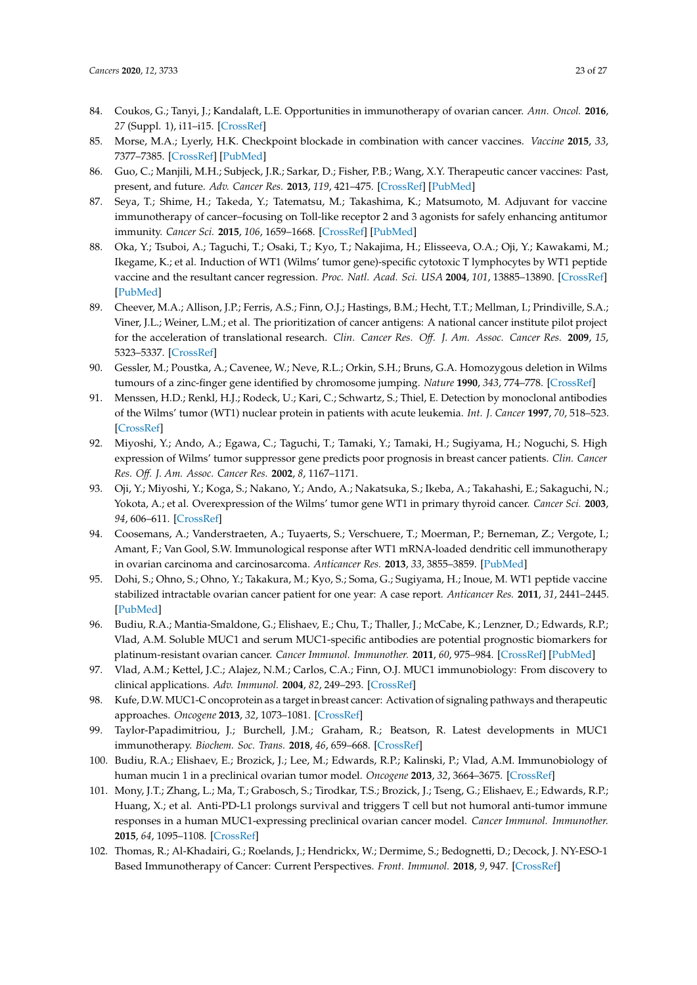- 84. Coukos, G.; Tanyi, J.; Kandalaft, L.E. Opportunities in immunotherapy of ovarian cancer. *Ann. Oncol.* **2016**, *27* (Suppl. 1), i11–i15. [\[CrossRef\]](http://dx.doi.org/10.1093/annonc/mdw084)
- <span id="page-22-0"></span>85. Morse, M.A.; Lyerly, H.K. Checkpoint blockade in combination with cancer vaccines. *Vaccine* **2015**, *33*, 7377–7385. [\[CrossRef\]](http://dx.doi.org/10.1016/j.vaccine.2015.10.057) [\[PubMed\]](http://www.ncbi.nlm.nih.gov/pubmed/26482147)
- <span id="page-22-1"></span>86. Guo, C.; Manjili, M.H.; Subjeck, J.R.; Sarkar, D.; Fisher, P.B.; Wang, X.Y. Therapeutic cancer vaccines: Past, present, and future. *Adv. Cancer Res.* **2013**, *119*, 421–475. [\[CrossRef\]](http://dx.doi.org/10.1016/B978-0-12-407190-2.00007-1) [\[PubMed\]](http://www.ncbi.nlm.nih.gov/pubmed/23870514)
- <span id="page-22-2"></span>87. Seya, T.; Shime, H.; Takeda, Y.; Tatematsu, M.; Takashima, K.; Matsumoto, M. Adjuvant for vaccine immunotherapy of cancer–focusing on Toll-like receptor 2 and 3 agonists for safely enhancing antitumor immunity. *Cancer Sci.* **2015**, *106*, 1659–1668. [\[CrossRef\]](http://dx.doi.org/10.1111/cas.12824) [\[PubMed\]](http://www.ncbi.nlm.nih.gov/pubmed/26395101)
- <span id="page-22-3"></span>88. Oka, Y.; Tsuboi, A.; Taguchi, T.; Osaki, T.; Kyo, T.; Nakajima, H.; Elisseeva, O.A.; Oji, Y.; Kawakami, M.; Ikegame, K.; et al. Induction of WT1 (Wilms' tumor gene)-specific cytotoxic T lymphocytes by WT1 peptide vaccine and the resultant cancer regression. *Proc. Natl. Acad. Sci. USA* **2004**, *101*, 13885–13890. [\[CrossRef\]](http://dx.doi.org/10.1073/pnas.0405884101) [\[PubMed\]](http://www.ncbi.nlm.nih.gov/pubmed/15365188)
- <span id="page-22-4"></span>89. Cheever, M.A.; Allison, J.P.; Ferris, A.S.; Finn, O.J.; Hastings, B.M.; Hecht, T.T.; Mellman, I.; Prindiville, S.A.; Viner, J.L.; Weiner, L.M.; et al. The prioritization of cancer antigens: A national cancer institute pilot project for the acceleration of translational research. *Clin. Cancer Res. O*ff*. J. Am. Assoc. Cancer Res.* **2009**, *15*, 5323–5337. [\[CrossRef\]](http://dx.doi.org/10.1158/1078-0432.CCR-09-0737)
- <span id="page-22-5"></span>90. Gessler, M.; Poustka, A.; Cavenee, W.; Neve, R.L.; Orkin, S.H.; Bruns, G.A. Homozygous deletion in Wilms tumours of a zinc-finger gene identified by chromosome jumping. *Nature* **1990**, *343*, 774–778. [\[CrossRef\]](http://dx.doi.org/10.1038/343774a0)
- 91. Menssen, H.D.; Renkl, H.J.; Rodeck, U.; Kari, C.; Schwartz, S.; Thiel, E. Detection by monoclonal antibodies of the Wilms' tumor (WT1) nuclear protein in patients with acute leukemia. *Int. J. Cancer* **1997**, *70*, 518–523. [\[CrossRef\]](http://dx.doi.org/10.1002/(SICI)1097-0215(19970304)70:5<518::AID-IJC5>3.0.CO;2-0)
- <span id="page-22-6"></span>92. Miyoshi, Y.; Ando, A.; Egawa, C.; Taguchi, T.; Tamaki, Y.; Tamaki, H.; Sugiyama, H.; Noguchi, S. High expression of Wilms' tumor suppressor gene predicts poor prognosis in breast cancer patients. *Clin. Cancer Res. O*ff*. J. Am. Assoc. Cancer Res.* **2002**, *8*, 1167–1171.
- <span id="page-22-7"></span>93. Oji, Y.; Miyoshi, Y.; Koga, S.; Nakano, Y.; Ando, A.; Nakatsuka, S.; Ikeba, A.; Takahashi, E.; Sakaguchi, N.; Yokota, A.; et al. Overexpression of the Wilms' tumor gene WT1 in primary thyroid cancer. *Cancer Sci.* **2003**, *94*, 606–611. [\[CrossRef\]](http://dx.doi.org/10.1111/j.1349-7006.2003.tb01490.x)
- <span id="page-22-8"></span>94. Coosemans, A.; Vanderstraeten, A.; Tuyaerts, S.; Verschuere, T.; Moerman, P.; Berneman, Z.; Vergote, I.; Amant, F.; Van Gool, S.W. Immunological response after WT1 mRNA-loaded dendritic cell immunotherapy in ovarian carcinoma and carcinosarcoma. *Anticancer Res.* **2013**, *33*, 3855–3859. [\[PubMed\]](http://www.ncbi.nlm.nih.gov/pubmed/24023319)
- <span id="page-22-9"></span>95. Dohi, S.; Ohno, S.; Ohno, Y.; Takakura, M.; Kyo, S.; Soma, G.; Sugiyama, H.; Inoue, M. WT1 peptide vaccine stabilized intractable ovarian cancer patient for one year: A case report. *Anticancer Res.* **2011**, *31*, 2441–2445. [\[PubMed\]](http://www.ncbi.nlm.nih.gov/pubmed/21873157)
- <span id="page-22-10"></span>96. Budiu, R.A.; Mantia-Smaldone, G.; Elishaev, E.; Chu, T.; Thaller, J.; McCabe, K.; Lenzner, D.; Edwards, R.P.; Vlad, A.M. Soluble MUC1 and serum MUC1-specific antibodies are potential prognostic biomarkers for platinum-resistant ovarian cancer. *Cancer Immunol. Immunother.* **2011**, *60*, 975–984. [\[CrossRef\]](http://dx.doi.org/10.1007/s00262-011-1010-x) [\[PubMed\]](http://www.ncbi.nlm.nih.gov/pubmed/21461842)
- <span id="page-22-11"></span>97. Vlad, A.M.; Kettel, J.C.; Alajez, N.M.; Carlos, C.A.; Finn, O.J. MUC1 immunobiology: From discovery to clinical applications. *Adv. Immunol.* **2004**, *82*, 249–293. [\[CrossRef\]](http://dx.doi.org/10.1016/S0065-2776(04)82006-6)
- 98. Kufe, D.W. MUC1-C oncoprotein as a target in breast cancer: Activation of signaling pathways and therapeutic approaches. *Oncogene* **2013**, *32*, 1073–1081. [\[CrossRef\]](http://dx.doi.org/10.1038/onc.2012.158)
- <span id="page-22-12"></span>99. Taylor-Papadimitriou, J.; Burchell, J.M.; Graham, R.; Beatson, R. Latest developments in MUC1 immunotherapy. *Biochem. Soc. Trans.* **2018**, *46*, 659–668. [\[CrossRef\]](http://dx.doi.org/10.1042/BST20170400)
- <span id="page-22-13"></span>100. Budiu, R.A.; Elishaev, E.; Brozick, J.; Lee, M.; Edwards, R.P.; Kalinski, P.; Vlad, A.M. Immunobiology of human mucin 1 in a preclinical ovarian tumor model. *Oncogene* **2013**, *32*, 3664–3675. [\[CrossRef\]](http://dx.doi.org/10.1038/onc.2012.397)
- <span id="page-22-14"></span>101. Mony, J.T.; Zhang, L.; Ma, T.; Grabosch, S.; Tirodkar, T.S.; Brozick, J.; Tseng, G.; Elishaev, E.; Edwards, R.P.; Huang, X.; et al. Anti-PD-L1 prolongs survival and triggers T cell but not humoral anti-tumor immune responses in a human MUC1-expressing preclinical ovarian cancer model. *Cancer Immunol. Immunother.* **2015**, *64*, 1095–1108. [\[CrossRef\]](http://dx.doi.org/10.1007/s00262-015-1712-6)
- <span id="page-22-15"></span>102. Thomas, R.; Al-Khadairi, G.; Roelands, J.; Hendrickx, W.; Dermime, S.; Bedognetti, D.; Decock, J. NY-ESO-1 Based Immunotherapy of Cancer: Current Perspectives. *Front. Immunol.* **2018**, *9*, 947. [\[CrossRef\]](http://dx.doi.org/10.3389/fimmu.2018.00947)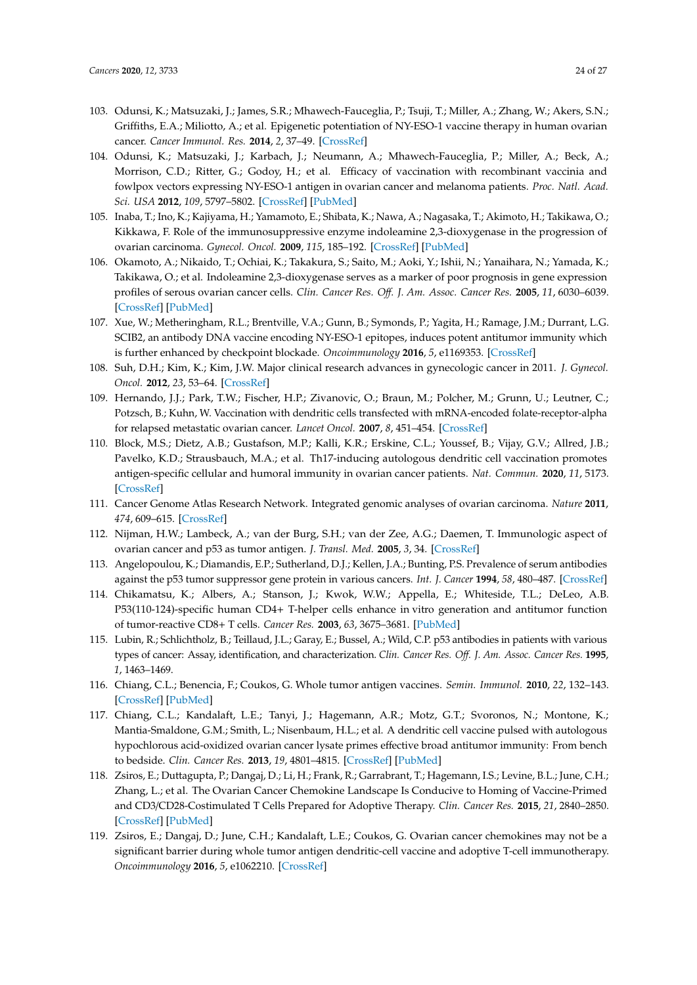- 103. Odunsi, K.; Matsuzaki, J.; James, S.R.; Mhawech-Fauceglia, P.; Tsuji, T.; Miller, A.; Zhang, W.; Akers, S.N.; Griffiths, E.A.; Miliotto, A.; et al. Epigenetic potentiation of NY-ESO-1 vaccine therapy in human ovarian cancer. *Cancer Immunol. Res.* **2014**, *2*, 37–49. [\[CrossRef\]](http://dx.doi.org/10.1158/2326-6066.CIR-13-0126)
- <span id="page-23-0"></span>104. Odunsi, K.; Matsuzaki, J.; Karbach, J.; Neumann, A.; Mhawech-Fauceglia, P.; Miller, A.; Beck, A.; Morrison, C.D.; Ritter, G.; Godoy, H.; et al. Efficacy of vaccination with recombinant vaccinia and fowlpox vectors expressing NY-ESO-1 antigen in ovarian cancer and melanoma patients. *Proc. Natl. Acad. Sci. USA* **2012**, *109*, 5797–5802. [\[CrossRef\]](http://dx.doi.org/10.1073/pnas.1117208109) [\[PubMed\]](http://www.ncbi.nlm.nih.gov/pubmed/22454499)
- <span id="page-23-1"></span>105. Inaba, T.; Ino, K.; Kajiyama, H.; Yamamoto, E.; Shibata, K.; Nawa, A.; Nagasaka, T.; Akimoto, H.; Takikawa, O.; Kikkawa, F. Role of the immunosuppressive enzyme indoleamine 2,3-dioxygenase in the progression of ovarian carcinoma. *Gynecol. Oncol.* **2009**, *115*, 185–192. [\[CrossRef\]](http://dx.doi.org/10.1016/j.ygyno.2009.07.015) [\[PubMed\]](http://www.ncbi.nlm.nih.gov/pubmed/19665763)
- <span id="page-23-2"></span>106. Okamoto, A.; Nikaido, T.; Ochiai, K.; Takakura, S.; Saito, M.; Aoki, Y.; Ishii, N.; Yanaihara, N.; Yamada, K.; Takikawa, O.; et al. Indoleamine 2,3-dioxygenase serves as a marker of poor prognosis in gene expression profiles of serous ovarian cancer cells. *Clin. Cancer Res. O*ff*. J. Am. Assoc. Cancer Res.* **2005**, *11*, 6030–6039. [\[CrossRef\]](http://dx.doi.org/10.1158/1078-0432.CCR-04-2671) [\[PubMed\]](http://www.ncbi.nlm.nih.gov/pubmed/16115948)
- <span id="page-23-3"></span>107. Xue, W.; Metheringham, R.L.; Brentville, V.A.; Gunn, B.; Symonds, P.; Yagita, H.; Ramage, J.M.; Durrant, L.G. SCIB2, an antibody DNA vaccine encoding NY-ESO-1 epitopes, induces potent antitumor immunity which is further enhanced by checkpoint blockade. *Oncoimmunology* **2016**, *5*, e1169353. [\[CrossRef\]](http://dx.doi.org/10.1080/2162402X.2016.1169353)
- <span id="page-23-4"></span>108. Suh, D.H.; Kim, K.; Kim, J.W. Major clinical research advances in gynecologic cancer in 2011. *J. Gynecol. Oncol.* **2012**, *23*, 53–64. [\[CrossRef\]](http://dx.doi.org/10.3802/jgo.2012.23.1.53)
- <span id="page-23-5"></span>109. Hernando, J.J.; Park, T.W.; Fischer, H.P.; Zivanovic, O.; Braun, M.; Polcher, M.; Grunn, U.; Leutner, C.; Potzsch, B.; Kuhn, W. Vaccination with dendritic cells transfected with mRNA-encoded folate-receptor-alpha for relapsed metastatic ovarian cancer. *Lancet Oncol.* **2007**, *8*, 451–454. [\[CrossRef\]](http://dx.doi.org/10.1016/S1470-2045(07)70142-0)
- <span id="page-23-6"></span>110. Block, M.S.; Dietz, A.B.; Gustafson, M.P.; Kalli, K.R.; Erskine, C.L.; Youssef, B.; Vijay, G.V.; Allred, J.B.; Pavelko, K.D.; Strausbauch, M.A.; et al. Th17-inducing autologous dendritic cell vaccination promotes antigen-specific cellular and humoral immunity in ovarian cancer patients. *Nat. Commun.* **2020**, *11*, 5173. [\[CrossRef\]](http://dx.doi.org/10.1038/s41467-020-18962-z)
- <span id="page-23-7"></span>111. Cancer Genome Atlas Research Network. Integrated genomic analyses of ovarian carcinoma. *Nature* **2011**, *474*, 609–615. [\[CrossRef\]](http://dx.doi.org/10.1038/nature10166)
- <span id="page-23-8"></span>112. Nijman, H.W.; Lambeck, A.; van der Burg, S.H.; van der Zee, A.G.; Daemen, T. Immunologic aspect of ovarian cancer and p53 as tumor antigen. *J. Transl. Med.* **2005**, *3*, 34. [\[CrossRef\]](http://dx.doi.org/10.1186/1479-5876-3-34)
- 113. Angelopoulou, K.; Diamandis, E.P.; Sutherland, D.J.; Kellen, J.A.; Bunting, P.S. Prevalence of serum antibodies against the p53 tumor suppressor gene protein in various cancers. *Int. J. Cancer* **1994**, *58*, 480–487. [\[CrossRef\]](http://dx.doi.org/10.1002/ijc.2910580404)
- 114. Chikamatsu, K.; Albers, A.; Stanson, J.; Kwok, W.W.; Appella, E.; Whiteside, T.L.; DeLeo, A.B. P53(110-124)-specific human CD4+ T-helper cells enhance in vitro generation and antitumor function of tumor-reactive CD8+ T cells. *Cancer Res.* **2003**, *63*, 3675–3681. [\[PubMed\]](http://www.ncbi.nlm.nih.gov/pubmed/12839958)
- <span id="page-23-9"></span>115. Lubin, R.; Schlichtholz, B.; Teillaud, J.L.; Garay, E.; Bussel, A.; Wild, C.P. p53 antibodies in patients with various types of cancer: Assay, identification, and characterization. *Clin. Cancer Res. Off. J. Am. Assoc. Cancer Res.* **1995**, *1*, 1463–1469.
- <span id="page-23-10"></span>116. Chiang, C.L.; Benencia, F.; Coukos, G. Whole tumor antigen vaccines. *Semin. Immunol.* **2010**, *22*, 132–143. [\[CrossRef\]](http://dx.doi.org/10.1016/j.smim.2010.02.004) [\[PubMed\]](http://www.ncbi.nlm.nih.gov/pubmed/20356763)
- <span id="page-23-11"></span>117. Chiang, C.L.; Kandalaft, L.E.; Tanyi, J.; Hagemann, A.R.; Motz, G.T.; Svoronos, N.; Montone, K.; Mantia-Smaldone, G.M.; Smith, L.; Nisenbaum, H.L.; et al. A dendritic cell vaccine pulsed with autologous hypochlorous acid-oxidized ovarian cancer lysate primes effective broad antitumor immunity: From bench to bedside. *Clin. Cancer Res.* **2013**, *19*, 4801–4815. [\[CrossRef\]](http://dx.doi.org/10.1158/1078-0432.CCR-13-1185) [\[PubMed\]](http://www.ncbi.nlm.nih.gov/pubmed/23838316)
- <span id="page-23-12"></span>118. Zsiros, E.; Duttagupta, P.; Dangaj, D.; Li, H.; Frank, R.; Garrabrant, T.; Hagemann, I.S.; Levine, B.L.; June, C.H.; Zhang, L.; et al. The Ovarian Cancer Chemokine Landscape Is Conducive to Homing of Vaccine-Primed and CD3/CD28-Costimulated T Cells Prepared for Adoptive Therapy. *Clin. Cancer Res.* **2015**, *21*, 2840–2850. [\[CrossRef\]](http://dx.doi.org/10.1158/1078-0432.CCR-14-2777) [\[PubMed\]](http://www.ncbi.nlm.nih.gov/pubmed/25712684)
- <span id="page-23-13"></span>119. Zsiros, E.; Dangaj, D.; June, C.H.; Kandalaft, L.E.; Coukos, G. Ovarian cancer chemokines may not be a significant barrier during whole tumor antigen dendritic-cell vaccine and adoptive T-cell immunotherapy. *Oncoimmunology* **2016**, *5*, e1062210. [\[CrossRef\]](http://dx.doi.org/10.1080/2162402X.2015.1062210)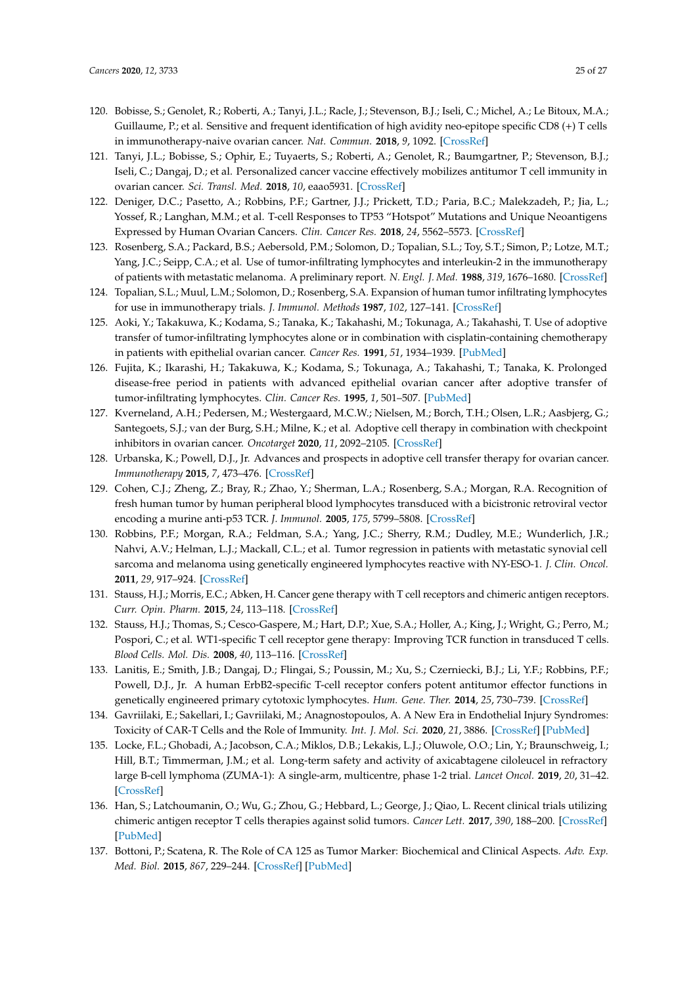- <span id="page-24-0"></span>120. Bobisse, S.; Genolet, R.; Roberti, A.; Tanyi, J.L.; Racle, J.; Stevenson, B.J.; Iseli, C.; Michel, A.; Le Bitoux, M.A.; Guillaume, P.; et al. Sensitive and frequent identification of high avidity neo-epitope specific CD8 (+) T cells in immunotherapy-naive ovarian cancer. *Nat. Commun.* **2018**, *9*, 1092. [\[CrossRef\]](http://dx.doi.org/10.1038/s41467-018-03301-0)
- <span id="page-24-1"></span>121. Tanyi, J.L.; Bobisse, S.; Ophir, E.; Tuyaerts, S.; Roberti, A.; Genolet, R.; Baumgartner, P.; Stevenson, B.J.; Iseli, C.; Dangaj, D.; et al. Personalized cancer vaccine effectively mobilizes antitumor T cell immunity in ovarian cancer. *Sci. Transl. Med.* **2018**, *10*, eaao5931. [\[CrossRef\]](http://dx.doi.org/10.1126/scitranslmed.aao5931)
- <span id="page-24-2"></span>122. Deniger, D.C.; Pasetto, A.; Robbins, P.F.; Gartner, J.J.; Prickett, T.D.; Paria, B.C.; Malekzadeh, P.; Jia, L.; Yossef, R.; Langhan, M.M.; et al. T-cell Responses to TP53 "Hotspot" Mutations and Unique Neoantigens Expressed by Human Ovarian Cancers. *Clin. Cancer Res.* **2018**, *24*, 5562–5573. [\[CrossRef\]](http://dx.doi.org/10.1158/1078-0432.CCR-18-0573)
- <span id="page-24-3"></span>123. Rosenberg, S.A.; Packard, B.S.; Aebersold, P.M.; Solomon, D.; Topalian, S.L.; Toy, S.T.; Simon, P.; Lotze, M.T.; Yang, J.C.; Seipp, C.A.; et al. Use of tumor-infiltrating lymphocytes and interleukin-2 in the immunotherapy of patients with metastatic melanoma. A preliminary report. *N. Engl. J. Med.* **1988**, *319*, 1676–1680. [\[CrossRef\]](http://dx.doi.org/10.1056/NEJM198812223192527)
- <span id="page-24-4"></span>124. Topalian, S.L.; Muul, L.M.; Solomon, D.; Rosenberg, S.A. Expansion of human tumor infiltrating lymphocytes for use in immunotherapy trials. *J. Immunol. Methods* **1987**, *102*, 127–141. [\[CrossRef\]](http://dx.doi.org/10.1016/S0022-1759(87)80018-2)
- <span id="page-24-5"></span>125. Aoki, Y.; Takakuwa, K.; Kodama, S.; Tanaka, K.; Takahashi, M.; Tokunaga, A.; Takahashi, T. Use of adoptive transfer of tumor-infiltrating lymphocytes alone or in combination with cisplatin-containing chemotherapy in patients with epithelial ovarian cancer. *Cancer Res.* **1991**, *51*, 1934–1939. [\[PubMed\]](http://www.ncbi.nlm.nih.gov/pubmed/2004379)
- <span id="page-24-6"></span>126. Fujita, K.; Ikarashi, H.; Takakuwa, K.; Kodama, S.; Tokunaga, A.; Takahashi, T.; Tanaka, K. Prolonged disease-free period in patients with advanced epithelial ovarian cancer after adoptive transfer of tumor-infiltrating lymphocytes. *Clin. Cancer Res.* **1995**, *1*, 501–507. [\[PubMed\]](http://www.ncbi.nlm.nih.gov/pubmed/9816009)
- <span id="page-24-7"></span>127. Kverneland, A.H.; Pedersen, M.; Westergaard, M.C.W.; Nielsen, M.; Borch, T.H.; Olsen, L.R.; Aasbjerg, G.; Santegoets, S.J.; van der Burg, S.H.; Milne, K.; et al. Adoptive cell therapy in combination with checkpoint inhibitors in ovarian cancer. *Oncotarget* **2020**, *11*, 2092–2105. [\[CrossRef\]](http://dx.doi.org/10.18632/oncotarget.27604)
- <span id="page-24-8"></span>128. Urbanska, K.; Powell, D.J., Jr. Advances and prospects in adoptive cell transfer therapy for ovarian cancer. *Immunotherapy* **2015**, *7*, 473–476. [\[CrossRef\]](http://dx.doi.org/10.2217/imt.15.21)
- <span id="page-24-9"></span>129. Cohen, C.J.; Zheng, Z.; Bray, R.; Zhao, Y.; Sherman, L.A.; Rosenberg, S.A.; Morgan, R.A. Recognition of fresh human tumor by human peripheral blood lymphocytes transduced with a bicistronic retroviral vector encoding a murine anti-p53 TCR. *J. Immunol.* **2005**, *175*, 5799–5808. [\[CrossRef\]](http://dx.doi.org/10.4049/jimmunol.175.9.5799)
- <span id="page-24-11"></span>130. Robbins, P.F.; Morgan, R.A.; Feldman, S.A.; Yang, J.C.; Sherry, R.M.; Dudley, M.E.; Wunderlich, J.R.; Nahvi, A.V.; Helman, L.J.; Mackall, C.L.; et al. Tumor regression in patients with metastatic synovial cell sarcoma and melanoma using genetically engineered lymphocytes reactive with NY-ESO-1. *J. Clin. Oncol.* **2011**, *29*, 917–924. [\[CrossRef\]](http://dx.doi.org/10.1200/JCO.2010.32.2537)
- 131. Stauss, H.J.; Morris, E.C.; Abken, H. Cancer gene therapy with T cell receptors and chimeric antigen receptors. *Curr. Opin. Pharm.* **2015**, *24*, 113–118. [\[CrossRef\]](http://dx.doi.org/10.1016/j.coph.2015.08.006)
- <span id="page-24-10"></span>132. Stauss, H.J.; Thomas, S.; Cesco-Gaspere, M.; Hart, D.P.; Xue, S.A.; Holler, A.; King, J.; Wright, G.; Perro, M.; Pospori, C.; et al. WT1-specific T cell receptor gene therapy: Improving TCR function in transduced T cells. *Blood Cells. Mol. Dis.* **2008**, *40*, 113–116. [\[CrossRef\]](http://dx.doi.org/10.1016/j.bcmd.2007.06.018)
- <span id="page-24-12"></span>133. Lanitis, E.; Smith, J.B.; Dangaj, D.; Flingai, S.; Poussin, M.; Xu, S.; Czerniecki, B.J.; Li, Y.F.; Robbins, P.F.; Powell, D.J., Jr. A human ErbB2-specific T-cell receptor confers potent antitumor effector functions in genetically engineered primary cytotoxic lymphocytes. *Hum. Gene. Ther.* **2014**, *25*, 730–739. [\[CrossRef\]](http://dx.doi.org/10.1089/hum.2014.006)
- <span id="page-24-13"></span>134. Gavriilaki, E.; Sakellari, I.; Gavriilaki, M.; Anagnostopoulos, A. A New Era in Endothelial Injury Syndromes: Toxicity of CAR-T Cells and the Role of Immunity. *Int. J. Mol. Sci.* **2020**, *21*, 3886. [\[CrossRef\]](http://dx.doi.org/10.3390/ijms21113886) [\[PubMed\]](http://www.ncbi.nlm.nih.gov/pubmed/32485958)
- <span id="page-24-14"></span>135. Locke, F.L.; Ghobadi, A.; Jacobson, C.A.; Miklos, D.B.; Lekakis, L.J.; Oluwole, O.O.; Lin, Y.; Braunschweig, I.; Hill, B.T.; Timmerman, J.M.; et al. Long-term safety and activity of axicabtagene ciloleucel in refractory large B-cell lymphoma (ZUMA-1): A single-arm, multicentre, phase 1-2 trial. *Lancet Oncol.* **2019**, *20*, 31–42. [\[CrossRef\]](http://dx.doi.org/10.1016/S1470-2045(18)30864-7)
- <span id="page-24-15"></span>136. Han, S.; Latchoumanin, O.; Wu, G.; Zhou, G.; Hebbard, L.; George, J.; Qiao, L. Recent clinical trials utilizing chimeric antigen receptor T cells therapies against solid tumors. *Cancer Lett.* **2017**, *390*, 188–200. [\[CrossRef\]](http://dx.doi.org/10.1016/j.canlet.2016.12.037) [\[PubMed\]](http://www.ncbi.nlm.nih.gov/pubmed/28089834)
- <span id="page-24-16"></span>137. Bottoni, P.; Scatena, R. The Role of CA 125 as Tumor Marker: Biochemical and Clinical Aspects. *Adv. Exp. Med. Biol.* **2015**, *867*, 229–244. [\[CrossRef\]](http://dx.doi.org/10.1007/978-94-017-7215-0_14) [\[PubMed\]](http://www.ncbi.nlm.nih.gov/pubmed/26530369)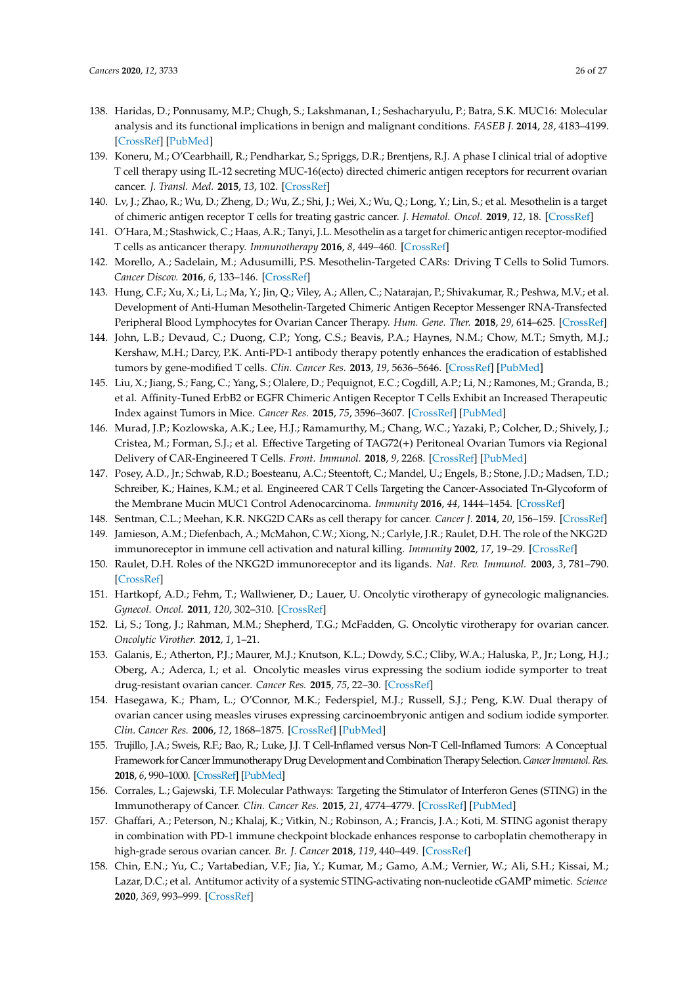- <span id="page-25-0"></span>138. Haridas, D.; Ponnusamy, M.P.; Chugh, S.; Lakshmanan, I.; Seshacharyulu, P.; Batra, S.K. MUC16: Molecular analysis and its functional implications in benign and malignant conditions. *FASEB J.* **2014**, *28*, 4183–4199. [\[CrossRef\]](http://dx.doi.org/10.1096/fj.14-257352) [\[PubMed\]](http://www.ncbi.nlm.nih.gov/pubmed/25002120)
- <span id="page-25-1"></span>139. Koneru, M.; O'Cearbhaill, R.; Pendharkar, S.; Spriggs, D.R.; Brentjens, R.J. A phase I clinical trial of adoptive T cell therapy using IL-12 secreting MUC-16(ecto) directed chimeric antigen receptors for recurrent ovarian cancer. *J. Transl. Med.* **2015**, *13*, 102. [\[CrossRef\]](http://dx.doi.org/10.1186/s12967-015-0460-x)
- <span id="page-25-2"></span>140. Lv, J.; Zhao, R.; Wu, D.; Zheng, D.; Wu, Z.; Shi, J.; Wei, X.; Wu, Q.; Long, Y.; Lin, S.; et al. Mesothelin is a target of chimeric antigen receptor T cells for treating gastric cancer. *J. Hematol. Oncol.* **2019**, *12*, 18. [\[CrossRef\]](http://dx.doi.org/10.1186/s13045-019-0704-y)
- 141. O'Hara, M.; Stashwick, C.; Haas, A.R.; Tanyi, J.L. Mesothelin as a target for chimeric antigen receptor-modified T cells as anticancer therapy. *Immunotherapy* **2016**, *8*, 449–460. [\[CrossRef\]](http://dx.doi.org/10.2217/imt.16.4)
- <span id="page-25-3"></span>142. Morello, A.; Sadelain, M.; Adusumilli, P.S. Mesothelin-Targeted CARs: Driving T Cells to Solid Tumors. *Cancer Discov.* **2016**, *6*, 133–146. [\[CrossRef\]](http://dx.doi.org/10.1158/2159-8290.CD-15-0583)
- <span id="page-25-4"></span>143. Hung, C.F.; Xu, X.; Li, L.; Ma, Y.; Jin, Q.; Viley, A.; Allen, C.; Natarajan, P.; Shivakumar, R.; Peshwa, M.V.; et al. Development of Anti-Human Mesothelin-Targeted Chimeric Antigen Receptor Messenger RNA-Transfected Peripheral Blood Lymphocytes for Ovarian Cancer Therapy. *Hum. Gene. Ther.* **2018**, *29*, 614–625. [\[CrossRef\]](http://dx.doi.org/10.1089/hum.2017.080)
- <span id="page-25-5"></span>144. John, L.B.; Devaud, C.; Duong, C.P.; Yong, C.S.; Beavis, P.A.; Haynes, N.M.; Chow, M.T.; Smyth, M.J.; Kershaw, M.H.; Darcy, P.K. Anti-PD-1 antibody therapy potently enhances the eradication of established tumors by gene-modified T cells. *Clin. Cancer Res.* **2013**, *19*, 5636–5646. [\[CrossRef\]](http://dx.doi.org/10.1158/1078-0432.CCR-13-0458) [\[PubMed\]](http://www.ncbi.nlm.nih.gov/pubmed/23873688)
- <span id="page-25-6"></span>145. Liu, X.; Jiang, S.; Fang, C.; Yang, S.; Olalere, D.; Pequignot, E.C.; Cogdill, A.P.; Li, N.; Ramones, M.; Granda, B.; et al. Affinity-Tuned ErbB2 or EGFR Chimeric Antigen Receptor T Cells Exhibit an Increased Therapeutic Index against Tumors in Mice. *Cancer Res.* **2015**, *75*, 3596–3607. [\[CrossRef\]](http://dx.doi.org/10.1158/0008-5472.CAN-15-0159) [\[PubMed\]](http://www.ncbi.nlm.nih.gov/pubmed/26330166)
- <span id="page-25-7"></span>146. Murad, J.P.; Kozlowska, A.K.; Lee, H.J.; Ramamurthy, M.; Chang, W.C.; Yazaki, P.; Colcher, D.; Shively, J.; Cristea, M.; Forman, S.J.; et al. Effective Targeting of TAG72(+) Peritoneal Ovarian Tumors via Regional Delivery of CAR-Engineered T Cells. *Front. Immunol.* **2018**, *9*, 2268. [\[CrossRef\]](http://dx.doi.org/10.3389/fimmu.2018.02268) [\[PubMed\]](http://www.ncbi.nlm.nih.gov/pubmed/30510550)
- <span id="page-25-8"></span>147. Posey, A.D., Jr.; Schwab, R.D.; Boesteanu, A.C.; Steentoft, C.; Mandel, U.; Engels, B.; Stone, J.D.; Madsen, T.D.; Schreiber, K.; Haines, K.M.; et al. Engineered CAR T Cells Targeting the Cancer-Associated Tn-Glycoform of the Membrane Mucin MUC1 Control Adenocarcinoma. *Immunity* **2016**, *44*, 1444–1454. [\[CrossRef\]](http://dx.doi.org/10.1016/j.immuni.2016.05.014)
- <span id="page-25-9"></span>148. Sentman, C.L.; Meehan, K.R. NKG2D CARs as cell therapy for cancer. *Cancer J.* **2014**, *20*, 156–159. [\[CrossRef\]](http://dx.doi.org/10.1097/PPO.0000000000000029)
- <span id="page-25-10"></span>149. Jamieson, A.M.; Diefenbach, A.; McMahon, C.W.; Xiong, N.; Carlyle, J.R.; Raulet, D.H. The role of the NKG2D immunoreceptor in immune cell activation and natural killing. *Immunity* **2002**, *17*, 19–29. [\[CrossRef\]](http://dx.doi.org/10.1016/S1074-7613(02)00333-3)
- <span id="page-25-11"></span>150. Raulet, D.H. Roles of the NKG2D immunoreceptor and its ligands. *Nat. Rev. Immunol.* **2003**, *3*, 781–790. [\[CrossRef\]](http://dx.doi.org/10.1038/nri1199)
- <span id="page-25-12"></span>151. Hartkopf, A.D.; Fehm, T.; Wallwiener, D.; Lauer, U. Oncolytic virotherapy of gynecologic malignancies. *Gynecol. Oncol.* **2011**, *120*, 302–310. [\[CrossRef\]](http://dx.doi.org/10.1016/j.ygyno.2010.10.031)
- <span id="page-25-13"></span>152. Li, S.; Tong, J.; Rahman, M.M.; Shepherd, T.G.; McFadden, G. Oncolytic virotherapy for ovarian cancer. *Oncolytic Virother.* **2012**, *1*, 1–21.
- <span id="page-25-14"></span>153. Galanis, E.; Atherton, P.J.; Maurer, M.J.; Knutson, K.L.; Dowdy, S.C.; Cliby, W.A.; Haluska, P., Jr.; Long, H.J.; Oberg, A.; Aderca, I.; et al. Oncolytic measles virus expressing the sodium iodide symporter to treat drug-resistant ovarian cancer. *Cancer Res.* **2015**, *75*, 22–30. [\[CrossRef\]](http://dx.doi.org/10.1158/0008-5472.CAN-14-2533)
- <span id="page-25-15"></span>154. Hasegawa, K.; Pham, L.; O'Connor, M.K.; Federspiel, M.J.; Russell, S.J.; Peng, K.W. Dual therapy of ovarian cancer using measles viruses expressing carcinoembryonic antigen and sodium iodide symporter. *Clin. Cancer Res.* **2006**, *12*, 1868–1875. [\[CrossRef\]](http://dx.doi.org/10.1158/1078-0432.CCR-05-1803) [\[PubMed\]](http://www.ncbi.nlm.nih.gov/pubmed/16551872)
- <span id="page-25-16"></span>155. Trujillo, J.A.; Sweis, R.F.; Bao, R.; Luke, J.J. T Cell-Inflamed versus Non-T Cell-Inflamed Tumors: A Conceptual Framework for Cancer Immunotherapy Drug Development and Combination Therapy Selection.*Cancer Immunol. Res.* **2018**, *6*, 990–1000. [\[CrossRef\]](http://dx.doi.org/10.1158/2326-6066.CIR-18-0277) [\[PubMed\]](http://www.ncbi.nlm.nih.gov/pubmed/30181337)
- <span id="page-25-17"></span>156. Corrales, L.; Gajewski, T.F. Molecular Pathways: Targeting the Stimulator of Interferon Genes (STING) in the Immunotherapy of Cancer. *Clin. Cancer Res.* **2015**, *21*, 4774–4779. [\[CrossRef\]](http://dx.doi.org/10.1158/1078-0432.CCR-15-1362) [\[PubMed\]](http://www.ncbi.nlm.nih.gov/pubmed/26373573)
- <span id="page-25-18"></span>157. Ghaffari, A.; Peterson, N.; Khalaj, K.; Vitkin, N.; Robinson, A.; Francis, J.A.; Koti, M. STING agonist therapy in combination with PD-1 immune checkpoint blockade enhances response to carboplatin chemotherapy in high-grade serous ovarian cancer. *Br. J. Cancer* **2018**, *119*, 440–449. [\[CrossRef\]](http://dx.doi.org/10.1038/s41416-018-0188-5)
- <span id="page-25-19"></span>158. Chin, E.N.; Yu, C.; Vartabedian, V.F.; Jia, Y.; Kumar, M.; Gamo, A.M.; Vernier, W.; Ali, S.H.; Kissai, M.; Lazar, D.C.; et al. Antitumor activity of a systemic STING-activating non-nucleotide cGAMP mimetic. *Science* **2020**, *369*, 993–999. [\[CrossRef\]](http://dx.doi.org/10.1126/science.abb4255)